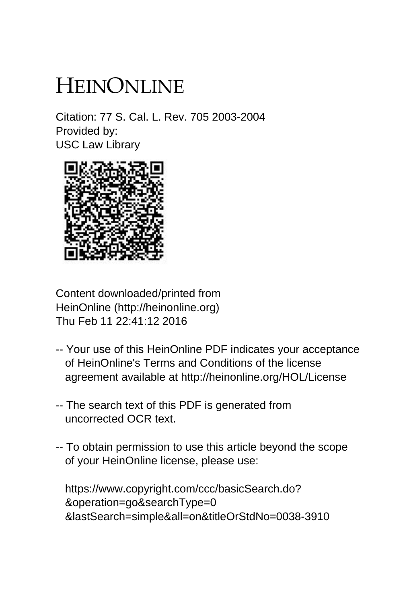# HEINONLINE

Citation: 77 S. Cal. L. Rev. 705 2003-2004 Provided by: USC Law Library



Content downloaded/printed from HeinOnline (http://heinonline.org) Thu Feb 11 22:41:12 2016

- -- Your use of this HeinOnline PDF indicates your acceptance of HeinOnline's Terms and Conditions of the license agreement available at http://heinonline.org/HOL/License
- -- The search text of this PDF is generated from uncorrected OCR text.
- -- To obtain permission to use this article beyond the scope of your HeinOnline license, please use:

 https://www.copyright.com/ccc/basicSearch.do? &operation=go&searchType=0 &lastSearch=simple&all=on&titleOrStdNo=0038-3910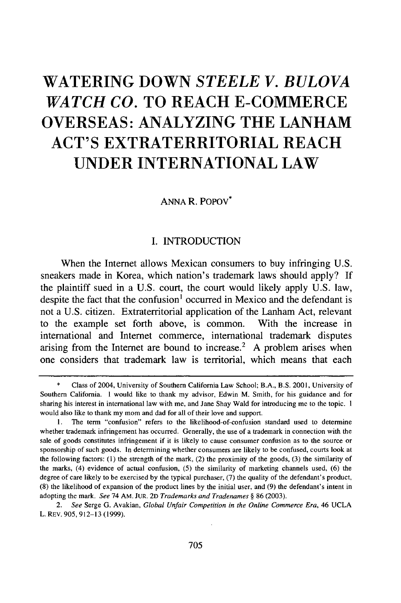## **WATERING DOWN** *STEELE V. BULOVA WATCH CO.* **TO REACH E-COMMERCE OVERSEAS: ANALYZING THE LANHAM ACT'S EXTRATERRITORIAL REACH UNDER INTERNATIONAL LAW**

## **ANNA** R. PoPov\*

## I. **INTRODUCTION**

When the Internet allows Mexican consumers to buy infringing U.S. sneakers made in Korea, which nation's trademark laws should apply? If the plaintiff sued in a U.S. court, the court would likely apply U.S. law, despite the fact that the confusion<sup>1</sup> occurred in Mexico and the defendant is not a U.S. citizen. Extraterritorial application of the Lanham Act, relevant to the example set forth above, is common. With the increase in international and Internet commerce, international trademark disputes arising from the Internet are bound to increase.<sup>2</sup> A problem arises when one considers that trademark law is territorial, which means that each

Class of 2004, University of Southern California Law School; B.A., B.S. 2001, University of Southern California. I would like to thank my advisor, Edwin M. Smith, for his guidance and for sharing his interest in international law with me, and Jane Shay Wald for introducing me to the topic. I would also like to thank my mom and dad for all of their love and support.

<sup>1.</sup> The term "confusion" refers to the likelihood-of-confusion standard used to determine whether trademark infringement has occurred. Generally, the use of a trademark in connection with the sale of goods constitutes infringement if it is likely to cause consumer confusion as to the source or sponsorship of such goods. In determining whether consumers are likely to be confused, courts look at the following factors: **(1)** the strength of the mark, (2) the proximity of the goods, (3) the similarity of the marks, (4) evidence of actual confusion, (5) the similarity of marketing channels used, (6) the degree of care likely to be exercised by the typical purchaser, (7) the quality of the defendant's product, (8) the likelihood of expansion of the product lines by the initial user, and (9) the defendant's intent in adopting the mark. *See* 74 AM. JUR. 2D *Trademarks and Tradenames §* 86 (2003).

*<sup>2.</sup> See* Serge G. Avakian, *Global Unfair Competition in the Online Commerce Era,* 46 UCLA L. REv. 905,912-13 (1999).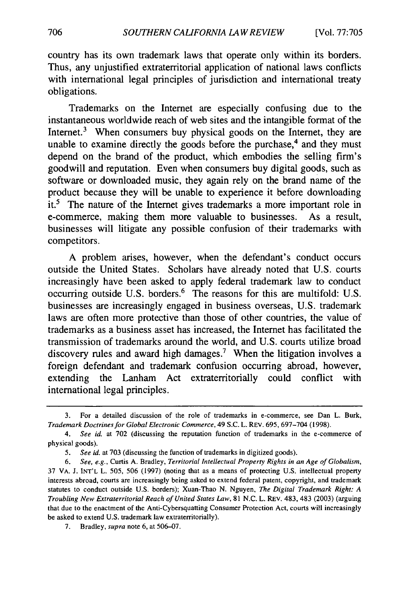country has its own trademark laws that operate only within its borders. Thus, any unjustified extraterritorial application of national laws conflicts with international legal principles of jurisdiction and international treaty obligations.

Trademarks on the Internet are especially confusing due to the instantaneous worldwide reach of web sites and the intangible format of the Internet.<sup>3</sup> When consumers buy physical goods on the Internet, they are unable to examine directly the goods before the purchase, $4$  and they must depend on the brand of the product, which embodies the selling firm's goodwill and reputation. Even when consumers buy digital goods, such as software or downloaded music, they again rely on the brand name of the product because they will be unable to experience it before downloading it.5 The nature of the Internet gives trademarks a more important role in e-commerce, making them more valuable to businesses. As a result, businesses will litigate any possible confusion of their trademarks with competitors.

A problem arises, however, when the defendant's conduct occurs outside the United States. Scholars have already noted that U.S. courts increasingly have been asked to apply federal trademark law to conduct occurring outside U.S. borders. $<sup>6</sup>$  The reasons for this are multifold: U.S.</sup> businesses are increasingly engaged in business overseas, U.S. trademark laws are often more protective than those of other countries, the value of trademarks as a business asset has increased, the Internet has facilitated the transmission of trademarks around the world, and U.S. courts utilize broad discovery rules and award high damages.<sup>7</sup> When the litigation involves a foreign defendant and trademark confusion occurring abroad, however, extending the Lanham Act extraterritorially could conflict with international legal principles.

7. Bradley, *supra* note 6, at 506-07.

<sup>3.</sup> For a detailed discussion of the role of trademarks in e-commerce, see Dan L. Burk, *Trademark Doctrines for Global Electronic Commerce,* 49 S.C. L. REV. 695,697-704 (1998).

*<sup>4.</sup> See id.* at 702 (discussing the reputation function of trademarks in the e-commerce of physical goods).

*<sup>5.</sup> See id.* at 703 (discussing the function of trademarks in digitized goods).

<sup>6.</sup> *See, e.g.,* Curtis A. Bradley, *Territorial Intellectual Property Rights in an Age of Globalism,* 37 VA. J. INT'L L. 505, 506 (1997) (noting that as a means of protecting U.S. intellectual property interests abroad, courts are increasingly being asked to extend federal patent, copyright, and trademark statutes to conduct outside U.S. borders); Xuan-Thao N. Nguyen, *The Digital Trademark Right: A Troubling* New *Extraterritorial Reach of United States Law,* 81 N.C. L. REV. 483, 483 (2003) (arguing that due to the enactment of the Anti-Cybersquatting Consumer Protection Act, courts will increasingly be asked to extend U.S. trademark law extraterritorially).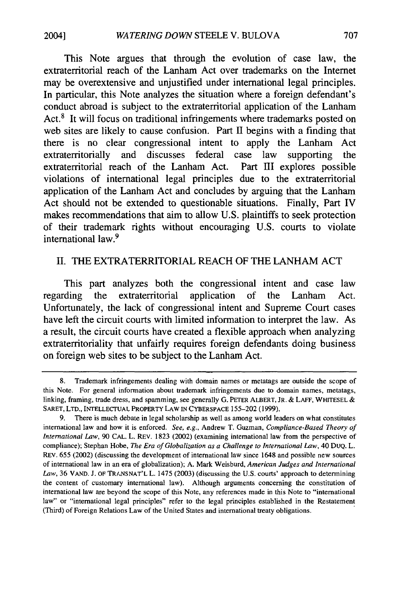This Note argues that through the evolution of case law, the extraterritorial reach of the Lanham Act over trademarks on the Internet may be overextensive and unjustified under international legal principles. In particular, this Note analyzes the situation where a foreign defendant's conduct abroad is subject to the extraterritorial application of the Lanham Act.<sup>8</sup> It will focus on traditional infringements where trademarks posted on web sites are likely to cause confusion. Part II begins with a finding that there is no clear congressional intent to apply the Lanham Act extraterritorially and discusses federal case law supporting the extraterritorial reach of the Lanham Act. Part III explores possible violations of international legal principles due to the extraterritorial application of the Lanham Act and concludes by arguing that the Lanham Act should not be extended to questionable situations. Finally, Part IV makes recommendations that aim to allow U.S. plaintiffs to seek protection of their trademark rights without encouraging U.S. courts to violate international law.<sup>9</sup>

## II. THE EXTRATERRITORIAL REACH OF THE LANHAM ACT

This part analyzes both the congressional intent and case law regarding the extraterritorial application of the Lanham Act. Unfortunately, the lack of congressional intent and Supreme Court cases have left the circuit courts with limited information to interpret the law. As a result, the circuit courts have created a flexible approach when analyzing extraterritoriality that unfairly requires foreign defendants doing business on foreign web sites to be subject to the Lanham Act.

<sup>8.</sup> Trademark infringements dealing with domain names or metatags are outside the scope of this Note. For general information about trademark infringements due to domain names, metatags, linking, framing, trade dress, and spamming, see generally G. PETER ALBERT, JR. & LAFF, WHITESEL & SARET, LTD., **INTELLECTUAL** PROPERTY LAW **IN** CYBERSPACE 155-202 (1999).

<sup>9.</sup> There is much debate in legal scholarship as well as among world leaders on what constitutes international law and how it is enforced. *See, e.g.,* Andrew T. Guzman, *Compliance-Based Theory of International Law,* 90 CAL. L. REV. 1823 (2002) (examining international law from the perspective of compliance); Stephan Hobe, *The Era of Globalization as a Challenge to International Law,* 40 DUQ. L. REV. 655 (2002) (discussing the development of international law since 1648 and possible new sources of international law in an era of globalization); A. Mark Weisburd, *American Judges and International* Law, 36 VAND. J. OF TRANSNAT'L L. 1475 (2003) (discussing the U.S. courts' approach to determining the content of customary international law). Although arguments concerning the constitution of international law are beyond the scope of this Note, any references made in this Note to "international law" or "international legal principles" refer to the legal principles established in the Restatement (Third) of Foreign Relations Law of the United States and international treaty obligations.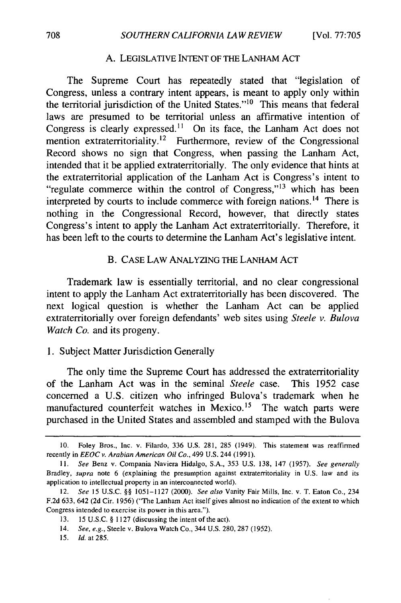#### **A. LEGISLATIVE INTENT** OF **THE LANHAM ACT**

The Supreme Court has repeatedly stated that "legislation of Congress, unless a contrary intent appears, is meant to apply only within the territorial jurisdiction of the United States." $10$  This means that federal laws are presumed to be territorial unless an affirmative intention of Congress is clearly expressed.<sup>11</sup> On its face, the Lanham Act does not mention extraterritoriality.<sup>12</sup> Furthermore, review of the Congressional Record shows no sign that Congress, when passing the Lanham Act, intended that it be applied extraterritorially. The only evidence that hints at the extraterritorial application of the Lanham Act is Congress's intent to "regulate commerce within the control of Congress," $13$  which has been interpreted by courts to include commerce with foreign nations. 14 There is nothing in the Congressional Record, however, that directly states Congress's intent to apply the Lanham Act extraterritorially. Therefore, it has been left to the courts to determine the Lanham Act's legislative intent.

#### B. CASE LAW **ANALYZING** THE LANHAM ACT

Trademark law is essentially territorial, and no clear congressional intent to apply the Lanham Act extraterritorially has been discovered. The next logical question is whether the Lanham Act can be applied extraterritorially over foreign defendants' web sites using *Steele v. Bulova Watch Co.* and its progeny.

## 1. Subject Matter Jurisdiction Generally

The only time the Supreme Court has addressed the extraterritoriality of the Lanham Act was in the seminal *Steele* case. This 1952 case concerned a U.S. citizen who infringed Bulova's trademark when he manufactured counterfeit watches in Mexico.<sup>15</sup> The watch parts were purchased in the United States and assembled and stamped with the Bulova

15. *Id.* at 285.

<sup>10.</sup> Foley Bros., Inc. v. Filardo, 336 U.S. 281, 285 (1949). This statement was reaffirmed recently in **EEOC** *v. Arabian American Oil Co.,* 499 U.S. 244 (1991).

*<sup>11.</sup> See* Benz v. Compania Naviera Hidalgo, S.A., 353 U.S. 138, 147 (1957). *See generally* Bradley, *supra* note 6 (explaining the presumption against extraterritoriality in U.S. law and its application to intellectual property in an interconnected world).

<sup>12.</sup> See 15 U.S.C. **§§** 1051-1127 (2000). See *also* Vanity Fair Mills, Inc. v. T. Eaton Co., 234 F.2d 633, 642 (2d Cir. 1956) ("The Lanham Act itself gives almost no indication of the extent to which Congress intended to exercise its power in this area.").

<sup>13. 15</sup> U.S.C. **§** 1127 (discussing the intent of the act).

<sup>14.</sup> See, *e.g.,* Steele v. Bulova Watch Co., 344 U.S. 280, 287 (1952).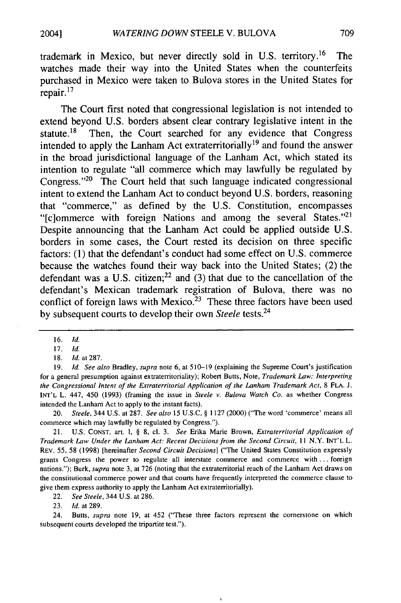trademark in Mexico, but never directly sold in **U.S.** territory. 16 The watches made their way into the United States when the counterfeits purchased in Mexico were taken to Bulova stores in the United States for repair. **17**

The Court first noted that congressional legislation is not intended to extend beyond **U.S.** borders absent clear contrary legislative intent in the statute.<sup>18</sup> Then, the Court searched for any evidence that Congress intended to apply the Lanham Act extraterritorially<sup>19</sup> and found the answer in the broad jurisdictional language of the Lanham Act, which stated its intention to regulate "all commerce which may lawfully be regulated **by** Congress. $v_{20}$  The Court held that such language indicated congressional intent to extend the Lanham Act to conduct beyond **U.S.** borders, reasoning that "commerce," as defined **by** the **U.S.** Constitution, encompasses "[c]ommerce with foreign Nations and among the several States."<sup>21</sup> Despite announcing that the Lanham Act could be applied outside **U.S.** borders in some cases, the Court rested its decision on three specific factors: **(1)** that the defendant's conduct had some effect on **U.S.** commerce because the watches found their way back into the United States; (2) the defendant was a **U.S.** citizen; 22 and **(3)** that due to the cancellation of the defendant's Mexican trademark registration of Bulova, there was no conflict of foreign laws with Mexico.<sup>23</sup> These three factors have been used **by** subsequent courts to develop their own *Steele* tests.24

20. *Steele,* 344 U.S. at 287. *See also* 15 U.S.C. § 1127 (2000) ("The word 'commerce' means all commerce which may lawfully be regulated **by** Congress.").

21. U.S. **CONST.** art. I, § 8, cl. 3. *See* Erika Marie Brown, *Extraterritorial Application of Trademark Law Under the Lanham Act: Recent Decisions from the Second Circuit, I* N.Y. INT'L L. REv. **55,** 58 (1998) [hereinafter *Second Circuit Decisions]* ("The United States Constitution expressly grants Congress the power to regulate all interstate commerce and commerce with **...** foreign nations."); Burk, *supra* note **3,** at **726** (noting that the extraterritorial reach of the Lanham Act draws on the constitutional commerce power and that courts have frequently interpreted the commerce clause to give them express authority to apply the Lanham Act extraterritorially).

22. *See Steele,* 344 U.S. at 286.

23. Id. at 289.

24. Butts, *supra* note **19,** at 452 ("These three factors represent the cornerstone on which subsequent courts developed the tripartite test.").

<sup>16.</sup> *Id.*

<sup>17.</sup> Id.

<sup>18.</sup> *Id.* at 287.

<sup>19.</sup> *Id. See also* Bradley, *supra* note **6,** at 510-19 (explaining the Supreme Court's justification for a general presumption against extraterritoriality); Robert Butts, Note, *Trademark Law: Interpreting the Congressional Intent of the Extraterritorial Application of the Lanham Trademark Act,* 8 **FLA.** J. **INT'L** L. 447, 450 (1993) (framing the issue in *Steele v. Bulova Watch Co.* as whether Congress intended the Lanham Act to apply to the instant facts).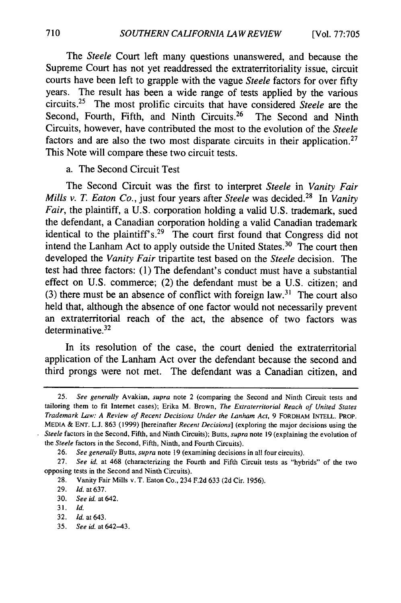The *Steele* Court left many questions unanswered, and because the Supreme Court has not yet readdressed the extraterritoriality issue, circuit courts have been left to grapple with the vague *Steele* factors for over fifty years. The result has been a wide range of tests applied by the various circuits.25 The most prolific circuits that have considered *Steele* are the Second, Fourth, Fifth, and Ninth Circuits.<sup>26</sup> The Second and Ninth Circuits, however, have contributed the most to the evolution of the *Steele* factors and are also the two most disparate circuits in their application.<sup>27</sup> This Note will compare these two circuit tests.

## a. The Second Circuit Test

The Second Circuit was the first to interpret *Steele* in *Vanity Fair Mills v. T. Eaton Co.,* just four years after *Steele* was decided.<sup>28</sup> In *Vanity Fair,* the plaintiff, a U.S. corporation holding a valid U.S. trademark, sued the defendant, a Canadian corporation holding a valid Canadian trademark identical to the plaintiff **S.29** The court first found that Congress did not intend the Lanham Act to apply outside the United States. $30$  The court then developed the *Vanity Fair* tripartite test based on the *Steele* decision. The test had three factors: (1) The defendant's conduct must have a substantial effect on U.S. commerce; (2) the defendant must be a U.S. citizen; and (3) there must be an absence of conflict with foreign law.<sup>31</sup> The court also held that, although the absence of one factor would not necessarily prevent an extraterritorial reach of the act, the absence of two factors was determinative. $32$ 

In its resolution of the case, the court denied the extraterritorial application of the Lanham Act over the defendant because the second and third prongs were not met. The defendant was a Canadian citizen, and

<sup>25.</sup> *See generally* Avakian, *supra* note 2 (comparing the Second and Ninth Circuit tests and tailoring them to fit Internet cases); Erika M. Brown, *The Extraterritorial Reach of United States Trademark Law: A Review of Recent Decisions Under the Lanham Act,* 9 FORDHAM INTELL. PROP. **MEDIA** & **ENT. L.J.** 863 **(1999)** [hereinafter *Recent Decisions]* (exploring the major decisions using the *Steele* factors in the Second, Fifth, and Ninth Circuits); Butts, *supra* note **19** (explaining the evolution of the *Steele* factors in the Second, Fifth, Ninth, and Fourth Circuits).

<sup>26.</sup> *See generally* Butts, *supra* note 19 (examining decisions in all four circuits).

<sup>27.</sup> *See id.* at 468 (characterizing the Fourth and Fifth Circuit tests as "hybrids" of the two opposing tests in the Second and Ninth Circuits).

<sup>28.</sup> Vanity Fair Mills v. T. Eaton Co., 234 F.2d 633 (2d Cir. 1956).

<sup>29.</sup> *Id.* at 637.

<sup>30.</sup> *See id.* at 642.

<sup>31.</sup> *Id.*

<sup>32.</sup> *Id.* at 643.

<sup>35.</sup> *See id.* at 642-43.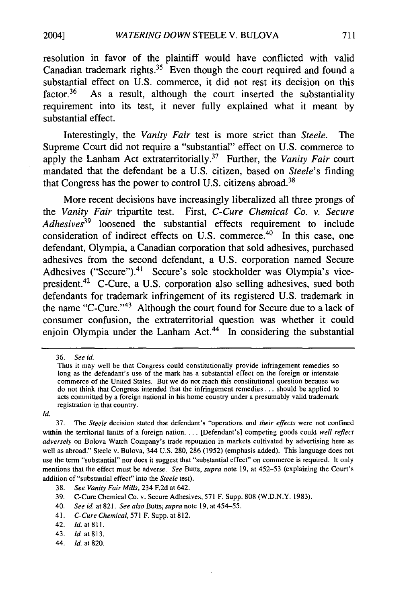resolution in favor of the plaintiff would have conflicted with valid Canadian trademark rights.<sup>35</sup> Even though the court required and found a substantial effect on **U.S.** commerce, it did not rest its decision on this factor.<sup>36</sup> As a result, although the court inserted the substantiality requirement into its test, it never fully explained what it meant **by** substantial effect.

Interestingly, the *Vanity Fair* test is more strict than *Steele.* The Supreme Court did not require a "substantial" effect on **U.S.** commerce to apply the Lanham Act extraterritorially. 37 Further, the *Vanity Fair* court mandated that the defendant be a **U.S.** citizen, based on *Steele's* finding that Congress has the power to control U.S. citizens abroad.<sup>38</sup>

More recent decisions have increasingly liberalized all three prongs of the *Vanity Fair* tripartite test. First, *C-Cure Chemical Co. v. Secure Adhesives39* loosened the substantial effects requirement to include consideration of indirect effects on **U.S.** commerce. 40 In this case, one defendant, Olympia, a Canadian corporation that sold adhesives, purchased adhesives from the second defendant, a **U.S.** corporation named Secure Adhesives ("Secure").<sup>41</sup> Secure's sole stockholder was Olympia's vicepresident. 42 C-Cure, a **U.S.** corporation also selling adhesives, sued both defendants for trademark infringement of its registered **U.S.** trademark in the name "C-Cure."<sup>43</sup> Although the court found for Secure due to a lack of consumer confusion, the extraterritorial question was whether it could enjoin Olympia under the Lanham Act. $44$  In considering the substantial

*Id.*

44. **Id.** at **820.**

**<sup>36.</sup>** See id.

**Thus** it may well be that Congress could constitutionally provide infringement remedies so long as the defendant's use of the mark has a substantial effect on the foreign or interstate commerce of the United States. But we do not reach this constitutional question because we do not think that Congress intended that the infringement remedies **...** should be applied to acts committed **by** a foreign national in his home country under a presumably valid trademark registration in that country.

**<sup>37.</sup>** The *Steele* decision stated that defendant's "operations and *their effects* were not confined within the territorial limits of a foreign nation. **...** [Defendant's] competing goods could *well reflect adversely* on Bulova Watch Company's trade reputation in markets cultivated **by** advertising here as well as abroad." Steele v. Bulova, 344 **U.S. 280, 286 (1952)** (emphasis added). This language does not use the term "substantial" nor does it suggest that "substantial effect" on commerce is required. It only mentions that the effect must be adverse. *See* Butts, *supra* note **19,** at **452-53** (explaining the Court's addition of "substantial effect" into the *Steele* test).

**<sup>38.</sup>** *See Vanity Fair Mills,* 234 **F.2d** at 642.

**<sup>39.</sup>** C-Cure Chemical Co. v. Secure Adhesives, **571** F. Supp. **808** (W.D.N.Y. **1983).**

<sup>40.</sup> *See id.* at **821.** *See also* Butts; *supra* note **19,** at 454-55.

<sup>41.</sup> *C-Cure Chemical,* **571** F. Supp. at **812.**

<sup>42.</sup> *Id.* at **811.**

<sup>43.</sup> *Id.* at **813.**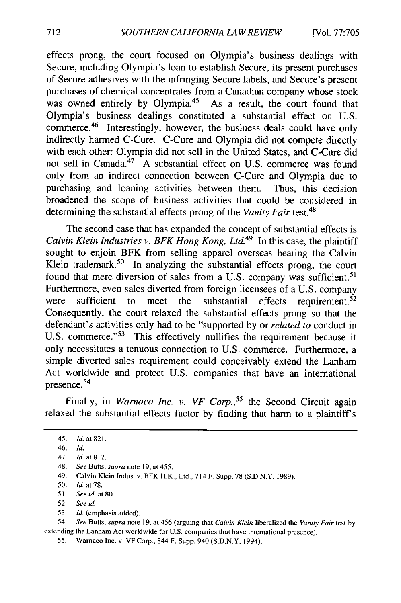effects prong, the court focused on Olympia's business dealings with Secure, including Olympia's loan to establish Secure, its present purchases of Secure adhesives with the infringing Secure labels, and Secure's present purchases of chemical concentrates from a Canadian company whose stock was owned entirely by Olympia.<sup>45</sup> As a result, the court found that Olympia's business dealings constituted a substantial effect on U.S. commerce. 46 Interestingly, however, the business deals could have only indirectly harmed C-Cure. C-Cure and Olympia did not compete directly with each other: Olympia did not sell in the United States, and C-Cure did not sell in Canada.<sup>47</sup> A substantial effect on U.S. commerce was found only from an indirect connection between C-Cure and Olympia due to purchasing and loaning activities between them. Thus, this decision broadened the scope of business activities that could be considered in determining the substantial effects prong of the *Vanity Fair* test.48

The second case that has expanded the concept of substantial effects is *Calvin Klein Industries v. BFK Hong Kong, Ltd.49* In this case, the plaintiff sought to enjoin BFK from selling apparel overseas bearing the Calvin Klein trademark.<sup>50</sup> In analyzing the substantial effects prong, the court found that mere diversion of sales from a U.S. company was sufficient.<sup>51</sup> Furthermore, even sales diverted from foreign licensees of a U.S. company were sufficient to meet the substantial effects requirement.<sup>52</sup> Consequently, the court relaxed the substantial effects prong so that the defendant's activities only had to be "supported by or *related to* conduct in U.S. commerce."<sup>53</sup> This effectively nullifies the requirement because it only necessitates a tenuous connection to U.S. commerce. Furthermore, a simple diverted sales requirement could conceivably extend the Lanham Act worldwide and protect U.S. companies that have an international presence.<sup>54</sup>

Finally, in *Warnaco Inc. v. VF Corp.*,<sup>55</sup> the Second Circuit again relaxed the substantial effects factor by finding that harm to a plaintiff's

- 50. *Id.* at 78.
- **5I.** *See id.* at **80.**
- 52. *See id.*
- 53. *Id.* (emphasis added).

54. *See* Butts, *supra* note 19, at 456 (arguing that *Calvin Klein* liberalized the *Vanity Fair* test by extending the Lanham Act worldwide for U.S. companies that have international presence).

<sup>45.</sup> *Id.* at 821.

<sup>46.</sup> *Id.*

<sup>47.</sup> *Id.* at 812.

<sup>48.</sup> See Butts, supra note 19, at 455.

<sup>49.</sup> Calvin Klein Indus. v. BFK H.K., Ltd., 714 F. Supp. 78 (S.D.N.Y. 1989).

<sup>55.</sup> Warnaco Inc. v. VF Corp., 844 F. Supp. 940 (S.D.N.Y. 1994).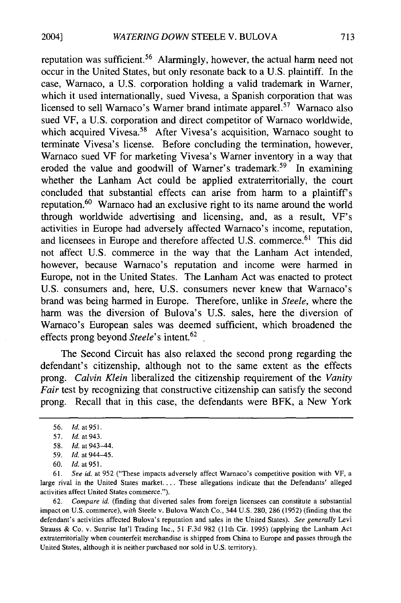reputation was sufficient.<sup>56</sup> Alarmingly, however, the actual harm need not occur in the United States, but only resonate back to a U.S. plaintiff. In the case, Warnaco, a U.S. corporation holding a valid trademark in Warner, which it used internationally, sued Vivesa, a Spanish corporation that was licensed to sell Warnaco's Warner brand intimate apparel.<sup>57</sup> Warnaco also sued VF, a U.S. corporation and direct competitor of Warnaco worldwide, which acquired Vivesa.<sup>58</sup> After Vivesa's acquisition, Warnaco sought to terminate Vivesa's license. Before concluding the termination, however, Warnaco sued VF for marketing Vivesa's Warner inventory in a way that eroded the value and goodwill of Warner's trademark.<sup>59</sup> In examining whether the Lanham Act could be applied extraterritorially, the court concluded that substantial effects can arise from harm to a plaintiff's reputation.<sup>60</sup> Warnaco had an exclusive right to its name around the world through worldwide advertising and licensing, and, as a result, VF's activities in Europe had adversely affected Warnaco's income, reputation, and licensees in Europe and therefore affected U.S. commerce.<sup>61</sup> This did not affect U.S. commerce in the way that the Lanham Act intended, however, because Warnaco's reputation and income were harmed in Europe, not in the United States. The Lanham Act was enacted to protect U.S. consumers and, here, U.S. consumers never knew that Warnaco's brand was being harmed in Europe. Therefore, unlike in *Steele,* where the harm was the diversion of Bulova's U.S. sales, here the diversion of Warnaco's European sales was deemed sufficient, which broadened the effects prong beyond *Steele's* intent.<sup>62</sup>

The Second Circuit has also relaxed the second prong regarding the defendant's citizenship, although not to the same extent as the effects prong. *Calvin Klein* liberalized the citizenship requirement of the *Vanity Fair* test by recognizing that constructive citizenship can satisfy the second prong. Recall that in this case, the defendants were BFK, a New York

62. *Compare id.* (finding that diverted sales from foreign licensees can constitute a substantial impact on U.S. commerce), *with* Steele v. Bulova Watch Co., 344 U.S. 280, 286 (1952) (finding that the defendant's activities affected Bulova's reputation and sales in the United States). *See generally* Levi Strauss & Co. v. Sunrise Int'l Trading Inc., 51 F.3d 982 (1 1th Cir. 1995) (applying the Lanham Act extraterritorially when counterfeit merchandise is shipped from China to Europe and passes through the United States, although it is neither purchased nor sold in U.S. territory).

<sup>56.</sup> *Id.* at 951.

<sup>57.</sup> *Id.* at 943.

<sup>58.</sup> *Id.* at 943-44.

**<sup>59.</sup>** *Id.* at 944-45.

<sup>60.</sup> **Id.** at 951.

<sup>61.</sup> *See id.* at 952 ("These impacts adversely affect Warnaco's competitive position with VF, a large rival in the United States market.... These allegations indicate that the Defendants' alleged activities affect United States commerce.").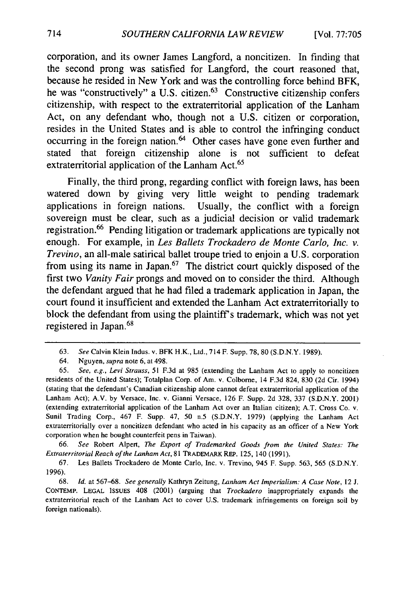corporation, and its owner James Langford, a noncitizen. In finding that the second prong was satisfied for Langford, the court reasoned that, because he resided in New York and was the controlling force behind BFK, he was "constructively" a U.S. citizen.<sup>63</sup> Constructive citizenship confers citizenship, with respect to the extraterritorial application of the Lanham Act, on any defendant who, though not a U.S. citizen or corporation, resides in the United States and is able to control the infringing conduct occurring in the foreign nation. 64 Other cases have gone even further and stated that foreign citizenship alone is not sufficient to defeat extraterritorial application of the Lanham Act.<sup>65</sup>

Finally, the third prong, regarding conflict with foreign laws, has been watered down by giving very little weight to pending trademark applications in foreign nations. Usually, the conflict with a foreign sovereign must be clear, such as a judicial decision or valid trademark registration. 66 Pending litigation or trademark applications are typically not enough. For example, in *Les Ballets Trockadero de Monte Carlo, Inc. v. Trevino,* an all-male satirical ballet troupe tried to enjoin a U.S. corporation from using its name in Japan. $67$  The district court quickly disposed of the first two *Vanity Fair* prongs and moved on to consider the third. Although the defendant argued that he had filed a trademark application in Japan, the court found it insufficient and extended the Lanham Act extraterritorially to block the defendant from using the plaintiff's trademark, which was not yet registered in Japan. <sup>68</sup>

66. *See* Robert Alpert, *The Export of Trademarked Goods from the United States: The Extraterritorial Reach of the Lanham Act,* 81 TRADEMARK REP. **125,** 140 (1991).

67. Les Ballets Trockadero de Monte Carlo, Inc. v. Trevino, 945 F. Supp. 563, 565 (S.D.N.Y. 1996).

68. *Id.* at 567-68. *See generally* Kathryn Zeitung, *Lanham Act Imperialism: A Case Note,* 12 J. CONTEMP. LEGAL ISSUES 408 (2001) (arguing that *Trockadero* inappropriately expands the extraterritorial reach of the Lanham Act to cover **U.S.** trademark infringements on foreign soil by foreign nationals).

<sup>63.</sup> *See* Calvin Klein Indus. v. BFK H.K., Ltd., 714 F. Supp. 78,80 (S.D.N.Y. 1989).

<sup>64.</sup> Nguyen, *supra* note 6, at 498.

<sup>65.</sup> *See, e.g., Levi Strauss,* 51 F.3d at 985 (extending the Lanham Act to apply to noncitizen residents of the United States); Totalplan Corp. of Am. v. Colborne, 14 F.3d 824, 830 (2d Cir. 1994) (stating that the defendant's Canadian citizenship alone cannot defeat extraterritorial application of the Lanham Act); A.V. by Versace, Inc. v. Gianni Versace, 126 F. Supp. 2d 328, 337 (S.D.N.Y. 2001) (extending extraterritorial application of the Lanham Act over an Italian citizen); A.T. Cross Co. v. Sunil Trading Corp., 467 F. Supp. 47, 50 n.5 (S.D.N.Y. 1979) (applying the Lanham Act extraterritorially over a noncitizen defendant who acted in his capacity as an officer of a New York corporation when he bought counterfeit pens in Taiwan).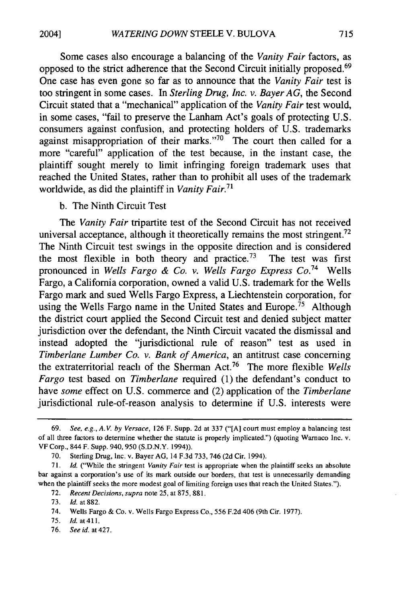Some cases also encourage a balancing of the *Vanity Fair* factors, as opposed to the strict adherence that the Second Circuit initially proposed.69 One case has even gone so far as to announce that the *Vanity Fair* test is too stringent in some cases. In *Sterling Drug, Inc. v. Bayer AG,* the Second Circuit stated that a "mechanical" application of the *Vanity Fair* test would, in some cases, "fail to preserve the Lanham Act's goals of protecting U.S. consumers against confusion, and protecting holders of U.S. trademarks against misappropriation of their marks."<sup>70</sup> The court then called for a more "careful" application of the test because, in the instant case, the plaintiff sought merely to limit infringing foreign trademark uses that reached the United States, rather than to prohibit all uses of the trademark worldwide, as did the plaintiff in *Vanity Fair.71*

## b. The Ninth Circuit Test

The *Vanity Fair* tripartite test of the Second Circuit has not received universal acceptance, although it theoretically remains the most stringent.<sup>72</sup> The Ninth Circuit test swings in the opposite direction and is considered the most flexible in both theory and practice.<sup>73</sup> The test was first pronounced in *Wells Fargo & Co. v. Wells Fargo Express Co.*<sup>74</sup> Wells Fargo, a California corporation, owned a valid U.S. trademark for the Wells Fargo mark and sued Wells Fargo Express, a Liechtenstein corporation, for using the Wells Fargo name in the United States and Europe.<sup>75</sup> Although the district court applied the Second Circuit test and denied subject matter jurisdiction over the defendant, the Ninth Circuit vacated the dismissal and instead adopted the "jurisdictional rule of reason" test as used in *Timberlane Lumber Co. v. Bank of America,* an antitrust case concerning the extraterritorial reach of the Sherman Act.76 The more flexible *Wells Fargo* test based on *Timberlane* required (1) the defendant's conduct to have *some* effect on U.S. commerce and (2) application of the *Timberlane* jurisdictional rule-of-reason analysis to determine if U.S. interests were

<sup>69.</sup> *See, e.g., A.V. by Versace,* 126 F. Supp. 2d at 337 ("[A] court must employ a balancing test of all three factors to determine whether the statute is properly implicated.") (quoting Warnaco Inc. v. VF Corp., 844 F. Supp. 940, 950 (S.D.N.Y. 1994)).

<sup>70.</sup> Sterling Drug, Inc. v. Bayer AG, 14 F.3d 733, 746 (2d Cir. 1994).

<sup>71.</sup> *Id.* ("While the stringent *Vanity Fair* test is appropriate when the plaintiff seeks an absolute bar against a corporation's use of its mark outside our borders, that test is unnecessarily demanding when the plaintiff seeks the more modest goal of limiting foreign uses that reach the United States.").

<sup>72.</sup> *Recent Decisions, supra* note 25, at 875, 881.

<sup>73.</sup> *Id.* at 882.

<sup>74.</sup> Wells Fargo & Co. v. Wells Fargo Express Co., 556 F.2d 406 (9th Cir. 1977).

<sup>75.</sup> *Id.* at 411.

<sup>76.</sup> *See id.* at 427.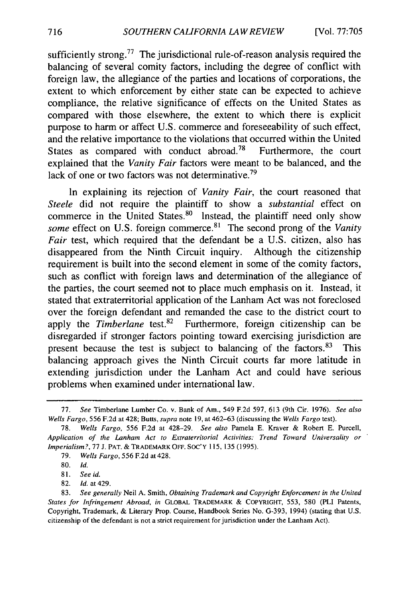sufficiently strong.<sup>77</sup> The jurisdictional rule-of-reason analysis required the balancing of several comity factors, including the degree of conflict with foreign law, the allegiance of the parties and locations of corporations, the extent to which enforcement by either state can be expected to achieve compliance, the relative significance of effects on the United States as compared with those elsewhere, the extent to which there is explicit purpose to harm or affect U.S. commerce and foreseeability of such effect, and the relative importance to the violations that occurred within the United States as compared with conduct abroad.<sup>78</sup> Furthermore, the court explained that the *Vanity Fair* factors were meant to be balanced, and the lack of one or two factors was not determinative.<sup>79</sup>

In explaining its rejection of *Vanity Fair,* the court reasoned that *Steele* did not require the plaintiff to show a *substantial* effect on commerce in the United States.<sup>80</sup> Instead, the plaintiff need only show *some* effect on U.S. foreign commerce. 81 The second prong of the *Vanity Fair* test, which required that the defendant be a U.S. citizen, also has disappeared from the Ninth Circuit inquiry. Although the citizenship requirement is built into the second element in some of the comity factors, such as conflict with foreign laws and determination of the allegiance of the parties, the court seemed not to place much emphasis on it. Instead, it stated that extraterritorial application of the Lanham Act was not foreclosed over the foreign defendant and remanded the case to the district court to apply the *Timberlane* test.<sup>82</sup> Furthermore, foreign citizenship can be disregarded if stronger factors pointing toward exercising jurisdiction are present because the test is subject to balancing of the factors. $83$  This balancing approach gives the Ninth Circuit courts far more latitude in extending jurisdiction under the Lanham Act and could have serious problems when examined under international law.

<sup>77.</sup> *See* Timberlane Lumber Co. v. Bank of Am., 549 F.2d 597, 613 (9th Cir. 1976). See also *Wells Fargo,* 556 F.2d at 428; Butts, *supra* note 19, at 462-63 (discussing the Wells *Fargo* test).

<sup>78.</sup> *Wells Fargo,* 556 F.2d at 428-29. *See also* Pamela E. Kraver & Robert E. Purcell, *Application of the Lanham Act to Extraterritorial Activities: Trend Toward Universality or Imperialism?,* 77 J. PAT. & TRADEMARK OFF. SOC'Y 115, 135 (1995).

<sup>79.</sup> *Wells Fargo,* 556 F.2d at 428.

<sup>80.</sup> *Id.*

<sup>81.</sup> *See id.*

<sup>82.</sup> *Id.* at 429.

<sup>83.</sup> *See generally* Neil A. Smith, *Obtaining Trademark and Copyright Enforcement in the United States for Infringement Abroad, in* GLOBAL TRADEMARK & COPYRIGHT, 553, 580 (PLI Patents, Copyright, Trademark, & Literary Prop. Course, Handbook Series No. G-393, 1994) (stating that U.S. citizenship of the defendant is not a strict requirement for jurisdiction under the Lanham Act).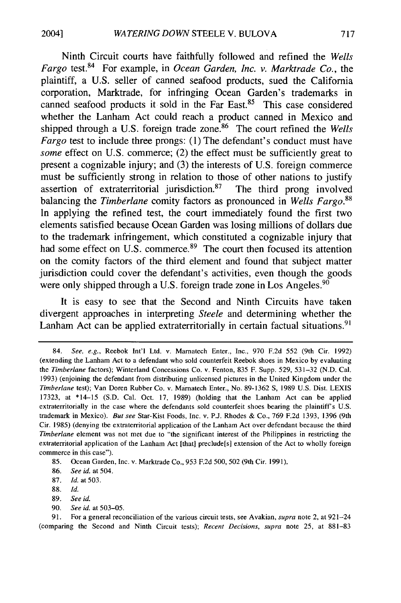Ninth Circuit courts have faithfully followed and refined the *Wells Fargo* test.<sup>84</sup> For example, in *Ocean Garden, Inc. v. Marktrade Co.*, the plaintiff, a U.S. seller of canned seafood products, sued the California corporation, Marktrade, for infringing Ocean Garden's trademarks in canned seafood products it sold in the Far East.85 This case considered whether the Lanham Act could reach a product canned in Mexico and shipped through a U.S. foreign trade zone.<sup>86</sup> The court refined the *Wells Fargo* test to include three prongs: (1) The defendant's conduct must have *some* effect on U.S. commerce; (2) the effect must be sufficiently great to present a cognizable injury; and (3) the interests of U.S. foreign commerce must be sufficiently strong in relation to those of other nations to justify assertion of extraterritorial jurisdiction.87 The third prong involved balancing the *Timberlane* comity factors as pronounced in *Wells Fargo.88* In applying the refined test, the court immediately found the first two elements satisfied because Ocean Garden was losing millions of dollars due to the trademark infringement, which constituted a cognizable injury that had some effect on U.S. commerce.<sup>89</sup> The court then focused its attention on the comity factors of the third element and found that subject matter jurisdiction could cover the defendant's activities, even though the goods were only shipped through a U.S. foreign trade zone in Los Angeles.<sup>90</sup>

It is easy to see that the Second and Ninth Circuits have taken divergent approaches in interpreting *Steele* and determining whether the Lanham Act can be applied extraterritorially in certain factual situations.<sup>91</sup>

- 86. *See id.* at 504.
- 87. **Id.** at 503.
- 88. *Id.*
- 89. *See id.*
- 90. *See id.* at 503-05.

<sup>84.</sup> See, e.g., Reebok Int'l Ltd. v. Marnatech Enter., Inc., 970 F.2d 552 (9th Cir. 1992) (extending the Lanham Act to a defendant who sold counterfeit Reebok shoes in Mexico by evaluating the *Timberlane* factors); Winterland Concessions Co. v. Fenton, 835 F. Supp. 529, 531-32 (N.D. Cal. 1993) (enjoining the defendant from distributing unlicensed pictures in the United Kingdom under the *Timberlane* test); Van Doren Rubber Co. v. Mamatech Enter., No. 89-1362 **S,** 1989 U.S. Dist. LEXIS 17323, at \*14-15 (S.D. Cal. Oct. 17, 1989) (holding that the Lanham Act can be applied extraterritorially in the case where the defendants sold counterfeit shoes bearing the plaintiffs U.S. trademark in Mexico). *But see* Star-Kist Foods, Inc. v. P.J. Rhodes & Co., 769 F.2d 1393, 1396 (9th Cir. 1985) (denying the extraterritorial application of the Lanham Act over defendant because the third *Timberlane* element was not met due to "the significant interest of the Philippines in restricting the extraterritorial application of the Lanham Act [that] preclude[s] extension of the Act to wholly foreign commerce in this case").

<sup>85.</sup> Ocean Garden, Inc. v. Marktrade Co., 953 F.2d 500, 502 (9th Cir. 1991).

<sup>91.</sup> For a general reconciliation of the various circuit tests, see Avakian, *supra* note 2, at 921-24 (comparing the Second and Ninth Circuit tests); *Recent Decisions, supra* note 25, at 881-83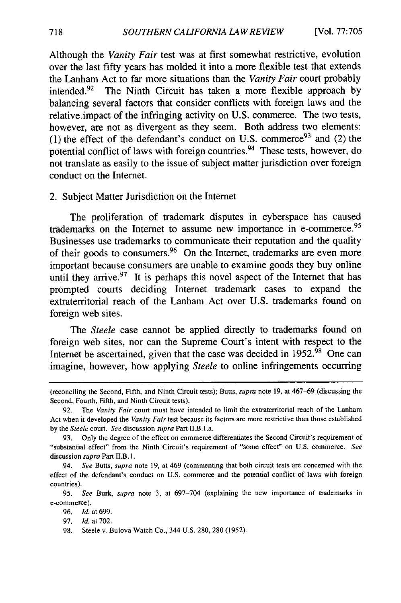Although the *Vanity Fair* test was at first somewhat restrictive, evolution over the last fifty years has molded it into a more flexible test that extends the Lanham Act to far more situations than the *Vanity Fair* court probably intended.<sup>92</sup> The Ninth Circuit has taken a more flexible approach by balancing several factors that consider conflicts with foreign laws and the relative impact of the infringing activity on U.S. commerce. The two tests, however, are not as divergent as they seem. Both address two elements: (1) the effect of the defendant's conduct on U.S. commerce<sup>93</sup> and (2) the potential conflict of laws with foreign countries.<sup>94</sup> These tests, however, do not translate as easily to the issue of subject matter jurisdiction over foreign conduct on the Internet.

#### 2. Subject Matter Jurisdiction on the Internet

The proliferation of trademark disputes in cyberspace has caused trademarks on the Internet to assume new importance in e-commerce. <sup>95</sup> Businesses use trademarks to communicate their reputation and the quality of their goods to consumers.<sup>96</sup> On the Internet, trademarks are even more important because consumers are unable to examine goods they buy online until they arrive.<sup>97</sup> It is perhaps this novel aspect of the Internet that has prompted courts deciding Internet trademark cases to expand the extraterritorial reach of the Lanham Act over U.S. trademarks found on foreign web sites.

The *Steele* case cannot be applied directly to trademarks found on foreign web sites, nor can the Supreme Court's intent with respect to the Internet be ascertained, given that the case was decided in  $1952.^{\overline{98}}$  One can imagine, however, how applying *Steele* to online infringements occurring

<sup>(</sup>reconciling the Second, Fifth, and Ninth Circuit tests); Butts, supra note 19, at 467-69 (discussing the Second, Fourth, Fifth, and Ninth Circuit tests).

<sup>92.</sup> The *Vanity Fair* court must have intended to limit the extraterritorial reach of the Lanham Act when it developed the *Vanity Fair* test because its factors are more restrictive than those established by the *Steele* court. *See* discussion *supra* Part II.B.1.a.

<sup>93.</sup> Only the degree of the effect on commerce differentiates the Second Circuit's requirement of "substantial effect" from the Ninth Circuit's requirement of "some effect" on U.S. commerce. *See* discussion supra Part II.B.1.

<sup>94.</sup> See Butts, supra note 19, at 469 (commenting that both circuit tests are concerned with the effect of the defendant's conduct on U.S. commerce and the potential conflict of laws with foreign countries).

<sup>95.</sup> *See* Burk, *supra* note 3, at 697-704 (explaining the new importance of trademarks in e-commerce).

<sup>96.</sup> Id. at 699.

<sup>97.</sup> *Id.* at 702.

<sup>98.</sup> Steele v. Bulova Watch Co., 344 U.S. 280, 280 (1952).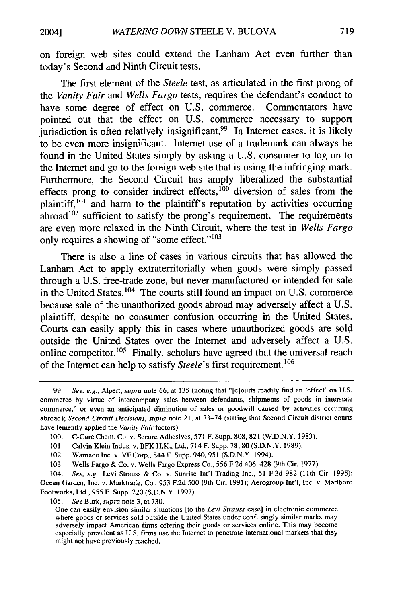on foreign web sites could extend the Lanham Act even further than today's Second and Ninth Circuit tests.

The first element of the *Steele* test, as articulated in the first prong of the *Vanity Fair and Wells Fargo* tests, requires the defendant's conduct to have some degree of effect on U.S. commerce. Commentators have pointed out that the effect on U.S. commerce necessary to support  $j$ urisdiction is often relatively insignificant.<sup>99</sup> In Internet cases, it is likely to be even more insignificant. Internet use of a trademark can always be found in the United States simply by asking a U.S. consumer to log on to the Internet and go to the foreign web site that is using the infringing mark. Furthermore, the Second Circuit has amply liberalized the substantial effects prong to consider indirect effects,  $100$  diversion of sales from the plaintiff,<sup>101</sup> and harm to the plaintiff's reputation by activities occurring  $a<sub>102</sub>$  sufficient to satisfy the prong's requirement. The requirements are even more relaxed in the Ninth Circuit, where the test in *Wells Fargo* only requires a showing of "some effect."<sup>103</sup>

There is also a line of cases in various circuits that has allowed the Lanham Act to apply extraterritorially when goods were simply passed through a U.S. free-trade zone, but never manufactured or intended for sale in the United States. 104 The courts still found an impact on U.S. commerce because sale of the unauthorized goods abroad may adversely affect a U.S. plaintiff, despite no consumer confusion occurring in the United States. Courts can easily apply this in cases where unauthorized goods are sold outside the United States over the Internet and adversely affect a U.S. online competitor.<sup>105</sup> Finally, scholars have agreed that the universal reach of the Internet can help to satisfy *Steele's* first requirement.<sup>106</sup>

105. *See* Burk, *supra* note 3, at 730.

<sup>99.</sup> See, e.g., Alpert, supra note 66, at 135 (noting that "[c]ourts readily find an 'effect' on U.S. commerce by virtue of intercompany sales between defendants, shipments of goods in interstate commerce," or even an anticipated diminution of sales or goodwill caused by activities occurring abroad); Second Circuit Decisions, *supra* note 21, at 73-74 (stating that Second Circuit district courts have leniently applied the *Vanity Fair* factors).

<sup>100.</sup> C-Cure Chem. Co. v. Secure Adhesives, 571 F. Supp. 808, 821 (W.D.N.Y. 1983).

<sup>101.</sup> Calvin Klein Indus. v. BFK H.K., Ltd., 714 F. Supp. 78, 80 (S.D.N.Y. 1989).

<sup>102.</sup> Warnaco Inc. v. VF Corp., 844 F. Supp. 940,951 (S.D.N.Y. 1994).

<sup>103.</sup> Wells Fargo & Co. v. Wells Fargo Express Co., 556 F.2d 406, 428 (9th Cir. 1977).

<sup>104.</sup> *See, e.g.,* Levi Strauss & Co. v. Sunrise Int'l Trading Inc., 51 F.3d 982 **(11th** Cir. 1995); Ocean Garden, Inc. v. Marktrade, Co., 953 F.2d 500 (9th Cir. 1991); Aerogroup Int'l, Inc. v. Marlboro Footworks, Ltd., 955 F. Supp. 220 (S.D.N.Y. 1997).

One can easily envision similar situations [to the *Levi Strauss* case] in electronic commerce where goods or services sold outside the United States under confusingly similar marks may adversely impact American firms offering their goods or services online. This may become especially prevalent as U.S. firms use the Internet to penetrate international markets that they might not have previously reached.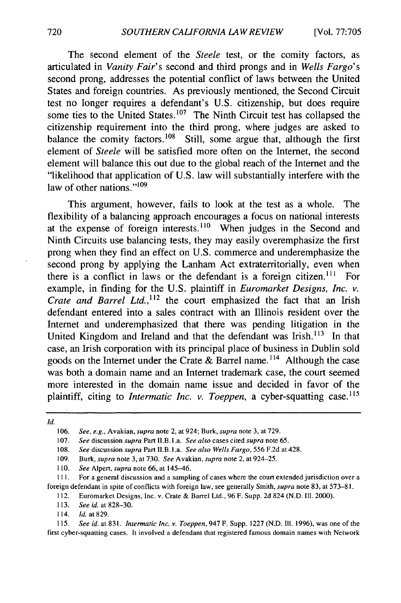The second element of the *Steele* test, or the comity factors, as articulated in *Vanity Fair's* second and third prongs and in *Wells Fargo's* second prong, addresses the potential conflict of laws between the United States and foreign countries. As previously mentioned, the Second Circuit test no longer requires a defendant's U.S. citizenship, but does require some ties to the United States.<sup>107</sup> The Ninth Circuit test has collapsed the citizenship requirement into the third prong, where judges are asked to balance the comity factors.<sup>108</sup> Still, some argue that, although the first element of *Steele* will be satisfied more often on the Internet, the second element will balance this out due to the global reach of the Internet and the "likelihood that application of U.S. law will substantially interfere with the law of other nations." $109$ 

This argument, however, fails to look at the test as a whole. The flexibility of a balancing approach encourages a focus on national interests at the expense of foreign interests.<sup>110</sup> When judges in the Second and Ninth Circuits use balancing tests, they may easily overemphasize the first prong when they find an effect on U.S. commerce and underemphasize the second prong by applying the Lanham Act extraterritorially, even when there is a conflict in laws or the defendant is a foreign citizen.<sup>111</sup> For example, in finding for the U.S. plaintiff in *Euromarket Designs, Inc. v. Crate and Barrel Ltd.*,<sup>112</sup> the court emphasized the fact that an Irish defendant entered into a sales contract with an Illinois resident over the Internet and underemphasized that there was pending litigation in the United Kingdom and Ireland and that the defendant was Irish.<sup>113</sup> In that case, an Irish corporation with its principal place of business in Dublin sold goods on the Internet under the Crate & Barrel name.<sup>114</sup> Although the case was both a domain name and an Internet trademark case, the court seemed more interested in the domain name issue and decided in favor of the plaintiff, citing to *Intermatic Inc. v. Toeppen,* a cyber-squatting case. <sup>115</sup>

**Id.**

- 113. *See id.* at 828-30.
- 114. **Id.** at 829.

115. *See* id. at 831. *Intermatic Inc. v. Toeppen,* 947 F. Supp. 1227 (N.D. Ill. 1996), was one of the first cyber-squatting cases. It involved a defendant that registered famous domain names with Network

<sup>106.</sup> *See, e.g., Avakian, supra* note 2, at 924; Burk, *supra* note 3, at 729.

<sup>107.</sup> *See* discussion *supra* Part II.B. L.a. *See also* cases cited *supra* note 65.

<sup>108.</sup> See discussion supra Part II.B.l.a. *See also Wells Fargo,* 556 F.2d at 428.

**<sup>109.</sup>** Burk, *supra* note 3, at 730. *See* Avakian, *supra* note 2, at 924-25.

<sup>110.</sup> *See* Alpert, *supra* note 66, at 145-46.

<sup>111.</sup> For a general discussion and a sampling of cases where the court extended jurisdiction over a foreign defendant in spite of conflicts with foreign law, see generally Smith, *supra* note 83, at 573-81.

<sup>112.</sup> Euromarket Designs, Inc. v. Crate & Barrel Ltd., 96 F. Supp. 2d 824 (N.D. Ill. 2000).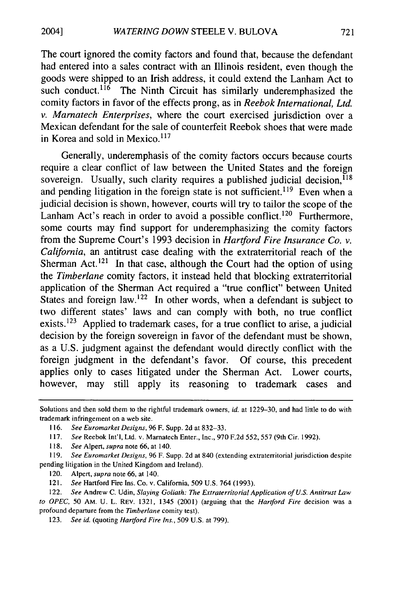2004]

The court ignored the comity factors and found that, because the defendant had entered into a sales contract with an Illinois resident, even though the goods were shipped to an Irish address, it could extend the Lanham Act to such conduct.<sup>116</sup> The Ninth Circuit has similarly underemphasized the comity factors in favor of the effects prong, as in *Reebok International, Ltd. v. Marnatech Enterprises,* where the court exercised jurisdiction over a Mexican defendant for the sale of counterfeit Reebok shoes that were made in Korea and sold in Mexico.<sup>117</sup>

Generally, underemphasis of the comity factors occurs because courts require a clear conflict of law between the United States and the foreign sovereign. Usually, such clarity requires a published judicial decision, <sup>118</sup> and pending litigation in the foreign state is not sufficient.<sup>119</sup> Even when a judicial decision is shown, however, courts will try to tailor the scope of the Lanham Act's reach in order to avoid a possible conflict.<sup>120</sup> Furthermore, some courts may find support for underemphasizing the comity factors from the Supreme Court's 1993 decision in *Hartford Fire Insurance Co. v. California,* an antitrust case dealing with the extraterritorial reach of the Sherman Act.<sup>121</sup> In that case, although the Court had the option of using the *Timberlane* comity factors, it instead held that blocking extraterritorial application of the Sherman Act required a "true conflict" between United States and foreign law.<sup>122</sup> In other words, when a defendant is subject to two different states' laws and can comply with both, no true conflict exists.  $123$  Applied to trademark cases, for a true conflict to arise, a judicial decision by the foreign sovereign in favor of the defendant must be shown, as a U.S. judgment against the defendant would directly conflict with the foreign judgment in the defendant's favor. Of course, this precedent applies only to cases litigated under the Sherman Act. Lower courts, however, may still apply its reasoning to trademark cases and

123. *See id. (quoting Hartford Fire Ins.,* 509 U.S. at 799).

Solutions and then sold them to the rightful trademark owners, id. at 1229-30, and had little to do with trademark infringement on a web site.

<sup>116.</sup> *See Euromarket Designs,* 96 F. Supp. 2d at 832-33.

<sup>117.</sup> *See* Reebok Int'l, Ltd. v. Marnatech Enter., Inc., 970 F.2d 552, 557 (9th Cir. 1992).

<sup>118.</sup> *See* Alpert, *supra* note 66, at 140.

*<sup>119.</sup> See Euromarket Designs,* 96 F. Supp. 2d at 840 (extending extraterritorial jurisdiction despite pending litigation in the United Kingdom and Ireland).

<sup>120.</sup> Alpert, *supra* note 66, at 140.

<sup>121.</sup> *See* Hartford Fire Ins. Co. v. California, 509 U.S. 764 (1993).

<sup>122.</sup> *See* Andrew C. Udin, *Slaying Goliath: The Extraterritorial Application of U.S. Antitrust Law to OPEC,* 50 AM. U. L. REV. 1321, 1345 (2001) (arguing that the *Hartford Fire* decision was a profound departure from the *Timberlane* comity test).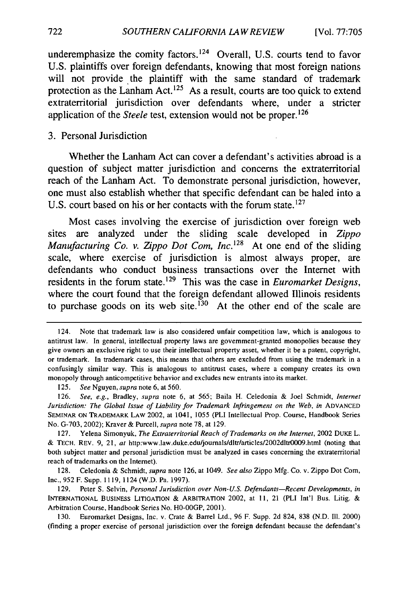underemphasize the comity factors. 124 Overall, **U.S.** courts tend to favor **U.S.** plaintiffs over foreign defendants, knowing that most foreign nations will not provide the plaintiff with the same standard of trademark protection as the Lanham Act.<sup>125</sup> As a result, courts are too quick to extend extraterritorial jurisdiction over defendants where, under a stricter application of the *Steele* test, extension would not be proper.<sup>126</sup>

#### **3.** Personal Jurisdiction

Whether the Lanham Act can cover a defendant's activities abroad is a question of subject matter jurisdiction and concerns the extraterritorial reach of the Lanham Act. To demonstrate personal jurisdiction, however, one must also establish whether that specific defendant can be haled into a U.S. court based on his or her contacts with the forum state.<sup>127</sup>

Most cases involving the exercise of jurisdiction over foreign web sites are analyzed under the sliding scale developed in *Zippo Manufacturing Co. v. Zippo Dot Com, Inc.*<sup>128</sup> At one end of the sliding scale, where exercise of jurisdiction is almost always proper, are defendants who conduct business transactions over the Internet with residents in the forum state.129 This was the case in *Euromarket Designs,* where the court found that the foreign defendant allowed Illinois residents to purchase goods on its web site.<sup>130</sup> At the other end of the scale are

125. *See* Nguyen, *supra* note **6,** at 560.

128. Celedonia & Schmidt, *supra* note 126, at 1049. *See also* Zippo Mfg. Co. v. Zippo Dot Com, Inc., 952 F. Supp. 1119, 1124 (W.D. Pa. 1997).

129. Peter S. Selvin, *Personal Jurisdiction over Non-U.S. Defendants-Recent Developments, in* INTERNATIONAL BUSINESS LITIGATION & ARBITRATION 2002, at 11, 21 (PLI Int'l Bus. Litig. & Arbitration Course, Handbook Series No. HO-OOGP, 2001).

130. Euromarket Designs, Inc. v. Crate & Barrel Ltd., 96 F. Supp. 2d 824, 838 (N.D. Ill. 2000) (finding a proper exercise of personal jurisdiction over the foreign defendant because the defendant's

<sup>124.</sup> Note that trademark law is also considered unfair competition law, which is analogous to antitrust law. In general, intellectual property laws are government-granted monopolies because they give owners an exclusive right to use their intellectual property asset, whether it be a patent, copyright, or trademark. In trademark cases, this means that others are excluded from using the trademark in a confusingly similar way. This is analogous to antitrust cases, where a company creates its own monopoly through anticompetitive behavior and excludes new entrants into its market.

<sup>126.</sup> *See, e.g.,* Bradley, *supra* note 6, at 565; Baila H. Celedonia & Joel Schmidt, *Internet Jurisdiction: The Global Issue of Liability for Trademark Infringement on the Web, in ADVANCED* **SEMINAR ON** TRADEMARK LAW 2002, at 1041, 1055 (PLI Intellectual Prop. Course, Handbook Series No. G-703, 2002); Kraver & Purcell, *supra* note 78, at 129.

<sup>127.</sup> Yelena Simonyuk, *The Extraterritorial Reach of Trademarks on the Internet,* 2002 DUKE L. & **TECH.** REV. 9, 21, at http:www.law.duke.edu/joumals/dltr/articles/2002dltr0009.html (noting that both subject matter and personal jurisdiction must be analyzed in cases concerning the extraterritorial reach of trademarks on the Internet).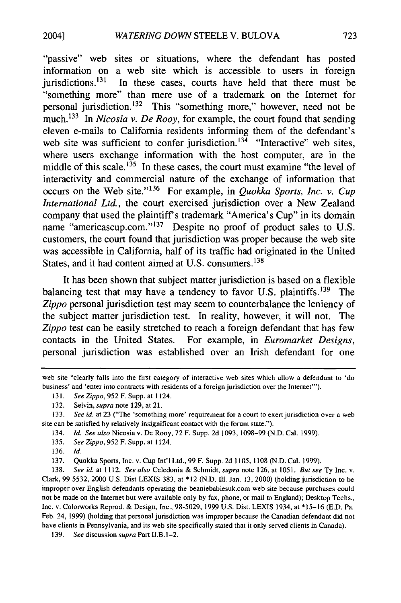"passive" web sites or situations, where the defendant has posted information on a web site which is accessible to users in foreign jurisdictions. $131$  In these cases, courts have held that there must be "something more" than mere use of a trademark on the Internet for personal jurisdiction.<sup>132</sup> This "something more," however, need not be much. 133 In *Nicosia v. De Rooy,* for example, the court found that sending eleven e-mails to California residents informing them of the defendant's web site was sufficient to confer jurisdiction.<sup>134</sup> "Interactive" web sites, where users exchange information with the host computer, are in the middle of this scale.<sup>135</sup> In these cases, the court must examine "the level of interactivity and commercial nature of the exchange of information that occurs on the Web site." 136 For example, in *Quokka Sports, Inc. v. Cup International Ltd.,* the court exercised jurisdiction over a New Zealand company that used the plaintiff's trademark "America's Cup" in its domain name "americascup.com."<sup>137</sup> Despite no proof of product sales to U.S. customers, the court found that jurisdiction was proper because the web site was accessible in California, half of its traffic had originated in the United States, and it had content aimed at U.S. consumers.<sup>138</sup>

It has been shown that subject matter jurisdiction is based on a flexible balancing test that may have a tendency to favor U.S. plaintiffs.  $139$  The *Zippo* personal jurisdiction test may seem to counterbalance the leniency of the subject matter jurisdiction test. In reality, however, it will not. The *Zippo* test can be easily stretched to reach a foreign defendant that has few contacts in the United States. For example, in *Euromarket Designs,* personal jurisdiction was established over an Irish defendant for one

133. *See id.* at 23 ("The 'something more' requirement for a court to exert jurisdiction over a web site can be satisfied by relatively insignificant contact with the forum state.").

134. *Id. See also* Nicosia v. De Rooy, 72 F. Supp. 2d **1093,** 1098-99 (N.D. Cal. 1999).

135. *See Zippo,* 952 F. Supp. at 1124.

2004]

137. Quokka Sports, Inc. v. Cup Int'l Ltd., 99 F. Supp. 2d 1105, **1108** (N.D. Cal. 1999).

138. *See id.* at 1112. *See also* Celedonia & Schmidt, *supra* note 126, at 1051. *But see* Ty Inc. v. Clark, 99 5532, 2000 U.S. Dist LEXIS 383, at **\*12** (N.D. Ill. Jan. 13, 2000) (holding jurisdiction to be improper over English defendants operating the beaniebabiesuk.com web site because purchases could not be made on the Internet but were available only by fax, phone, or mail to England); Desktop Techs., Inc. v. Colorworks Reprod. & Design, Inc., 98-5029, 1999 U.S. Dist. LEXIS 1934, at **\*15-16** (E.D. Pa. Feb. 24, 1999) (holding that personal jurisdiction was improper because the Canadian defendant did not have clients in Pennsylvania, and its web site specifically stated that it only served clients in Canada).

139. *See* discussion *supra* Part ll.B.l-2.

web site "clearly falls into the first category of interactive web sites which allow a defendant to 'do business' and 'enter into contracts with residents of a foreign jurisdiction over the Internet"').

<sup>131.</sup> *SeeZippo,* 952F. Supp. at 1124.

<sup>132.</sup> Selvin, *supra* note 129, at 21.

<sup>136.</sup> *Id.*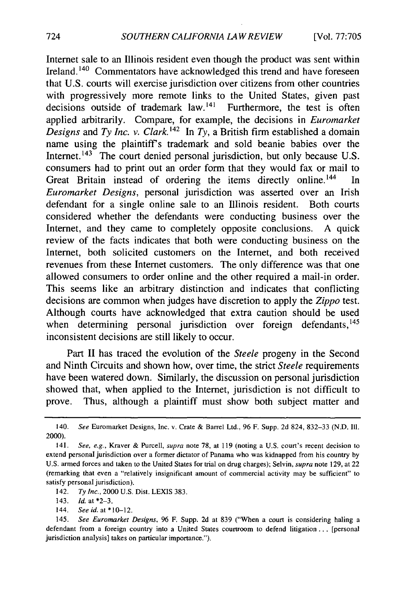Internet sale to an Illinois resident even though the product was sent within Ireland. **140** Commentators have acknowledged this trend and have foreseen that U.S. courts will exercise jurisdiction over citizens from other countries with progressively more remote links to the United States, given past decisions outside of trademark law.<sup>141</sup> Furthermore, the test is often applied arbitrarily. Compare, for example, the decisions in *Euromarket Designs* and *Ty Inc. v. Clark. 1 <sup>42</sup>*In *Ty,* a British firm established a domain name using the plaintiffs trademark and sold beanie babies over the Internet.<sup>143</sup> The court denied personal jurisdiction, but only because U.S. consumers had to print out an order form that they would fax or mail to Great Britain instead of ordering the items directly online.<sup>144</sup> In *Euromarket Designs,* personal jurisdiction was asserted over an Irish defendant for a single online sale to an Illinois resident. Both courts considered whether the defendants were conducting business over the Internet, and they came to completely opposite conclusions. A quick review of the facts indicates that both were conducting business on the Internet, both solicited customers on the Internet, and both received revenues from these Internet customers. The only difference was that one allowed consumers to order online and the other required a mail-in order. This seems like an arbitrary distinction and indicates that conflicting decisions are common when judges have discretion to apply the *Zippo* test. Although courts have acknowledged that extra caution should be used when determining personal jurisdiction over foreign defendants, 145 inconsistent decisions are still likely to occur.

Part II has traced the evolution of the *Steele* progeny in the Second and Ninth Circuits and shown how, over time, the strict *Steele* requirements have been watered down. Similarly, the discussion on personal jurisdiction showed that, when applied to the Internet, jurisdiction is not difficult to prove. Thus, although a plaintiff must show both subject matter and

142. *Ty Inc.,* 2000 U.S. Dist. LEXIS 383.

143. *Id.* at \*2-3.

144. *See id. at \*10-l2.*

<sup>140.</sup> See Euromarket Designs, Inc. v. Crate & Barrel Ltd., 96 F. Supp. 2d 824, 832-33 (N.D. Ill. 2000).

<sup>141.</sup> See, e.g., Kraver & Purcell, supra note 78, at 119 (noting a U.S. court's recent decision to extend personal jurisdiction over a former dictator of Panama who was kidnapped from his country by U.S. armed forces and taken to the United States for trial on drug charges); Selvin, supra note 129, at 22 (remarking that even a "relatively insignificant amount of commercial activity may be sufficient" to satisfy personal jurisdiction).

<sup>145.</sup> *See Euromarket Designs,* 96 F. Supp. 2d at 839 ("When a court is considering haling a defendant from a foreign country into a United States courtroom to defend litigation ... [personal jurisdiction analysis] takes on particular importance.").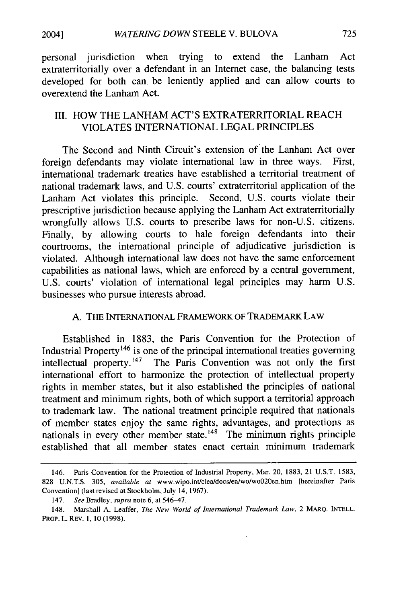2004]

personal jurisdiction when trying to extend the Lanham Act extraterritorially over a defendant in an Internet case, the balancing tests developed for both can be leniently applied and can allow courts to overextend the Lanham Act.

## III. HOW THE LANHAM ACT'S EXTRATERRITORIAL REACH VIOLATES INTERNATIONAL LEGAL PRINCIPLES

The Second and Ninth Circuit's extension of the Lanham Act over foreign defendants may violate international law in three ways. First, international trademark treaties have established a territorial treatment of national trademark laws, and U.S. courts' extraterritorial application of the Lanham Act violates this principle. Second, U.S. courts violate their prescriptive jurisdiction because applying the Lanham Act extraterritorially wrongfully allows U.S. courts to prescribe laws for non-U.S. citizens. Finally, by allowing courts to hale foreign defendants into their courtrooms, the international principle of adjudicative jurisdiction is violated. Although international law does not have the same enforcement capabilities as national laws, which are enforced by a central government, U.S. courts' violation of international legal principles may harm U.S. businesses who pursue interests abroad.

## A. THE INTERNATIONAL FRAMEWORK OF TRADEMARK LAW

Established in 1883, the Paris Convention for the Protection of Industrial Property<sup>146</sup> is one of the principal international treaties governing intellectual property. $147$  The Paris Convention was not only the first international effort to harmonize the protection of intellectual property rights in member states, but it also established the principles of national treatment and minimum rights, both of which support a territorial approach to trademark law. The national treatment principle required that nationals of member states enjoy the same rights, advantages, and protections as nationals in every other member state. 148 The minimum rights principle established that all member states enact certain minimum trademark

<sup>146.</sup> Paris Convention for the Protection of Industrial Property, Mar. 20, 1883, 21 **U.S.T.** 1583, 828 **U.N.T.S.** 305, *available at* www.wipo.int/clea/docs/en/wo/wo020en.htm [hereinafter Paris Convention] (last revised at Stockholm, July 14, 1967).

<sup>147.</sup> *See* Bradley, *supra* note 6, at 546-47.

<sup>148.</sup> Marshall A. Leaffer, *The New World of International Trademark Law,* 2 MARQ. INTELL. PRop. L. REV. 1, 10 (1998).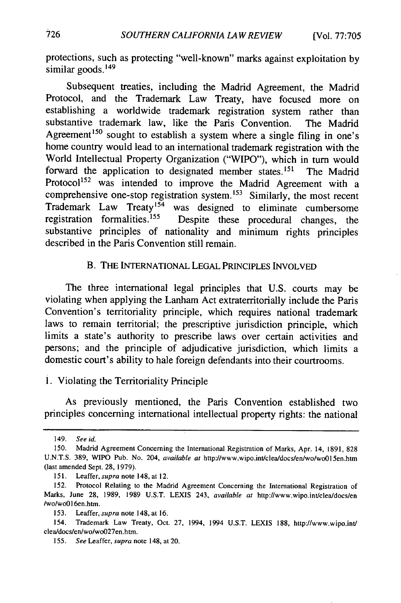protections, such as protecting "well-known" marks against exploitation by similar goods.<sup>149</sup>

Subsequent treaties, including the Madrid Agreement, the Madrid Protocol, and the Trademark Law Treaty, have focused more on establishing a worldwide trademark registration system rather than substantive trademark law, like the Paris Convention. The Madrid Agreement<sup>150</sup> sought to establish a system where a single filing in one's home country would lead to an international trademark registration with the World Intellectual Property Organization ("WIPO"), which in turn would forward the application to designated member states.<sup>151</sup> The Madrid Protocol<sup>152</sup> was intended to improve the Madrid Agreement with a comprehensive one-stop registration system.<sup>153</sup> Similarly, the most recent Trademark Law Treaty<sup>154</sup> was designed to eliminate cumbersome registration formalities.155 Despite these procedural changes, the substantive principles of nationality and minimum rights principles described in the Paris Convention still remain.

### B. THE INTERNATIONAL LEGAL PRINCIPLES INVOLVED

The three international legal principles that U.S. courts may be violating when applying the Lanham Act extraterritorially include the Paris Convention's territoriality principle, which requires national trademark laws to remain territorial; the prescriptive jurisdiction principle, which limits a state's authority to prescribe laws over certain activities and persons; and the principle of adjudicative jurisdiction, which limits a domestic court's ability to hale foreign defendants into their courtrooms.

1. Violating the Territoriality Principle

As previously mentioned, the Paris Convention established two principles concerning international intellectual property rights: the national

<sup>149.</sup> *See id.*

<sup>150.</sup> Madrid Agreement Concerning the International Registration of Marks, Apr. 14, 1891, 828 **U.N.T.S.** 389, WIPO Pub. No. 204, *available at* http://www.wipo.int/clea/docs/enlwo/woOl5en.htm (last amended Sept. 28, 1979).

<sup>151.</sup> Leaffer, *supra* note 148, at 12.

<sup>152.</sup> Protocol Relating to the Madrid Agreement Concerning the International Registration of Marks, June 28, 1989, 1989 U.S.T. LEXIS 243, *available at* http://www.wipo.int/cleaidocs/en /wo/woO16en.htm.

<sup>153.</sup> Leaffer, *supra* note 148, at 16.

<sup>154.</sup> Trademark Law Treaty, Oct. 27, 1994, 1994 U.S.T. LEXIS 188, http://www.wipo.int/ clealdocs/en/wo/wo027en.htm.

<sup>155.</sup> *See* Leaffer, *supra* note 148, at 20.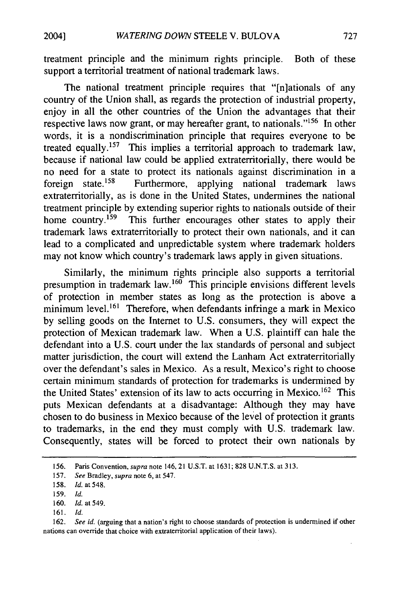treatment principle and the minimum rights principle. Both of these support a territorial treatment of national trademark laws.

The national treatment principle requires that "[n]ationals of any country of the Union shall, as regards the protection of industrial property, enjoy in all the other countries of the Union the advantages that their respective laws now grant, or may hereafter grant, to nationals."'156 In other words, it is a nondiscrimination principle that requires everyone to be treated equally. 157 This implies a territorial approach to trademark law, because if national law could be applied extraterritorially, there would be no need for a state to protect its nationals against discrimination in a foreign state.<sup>158</sup> Furthermore, applying national trademark laws extraterritorially, as is done in the United States, undermines the national treatment principle by extending superior rights to nationals outside of their home country.<sup>159</sup> This further encourages other states to apply their trademark laws extraterritorially to protect their own nationals, and it can lead to a complicated and unpredictable system where trademark holders may not know which country's trademark laws apply in given situations.

Similarly, the minimum rights principle also supports a territorial presumption in trademark law.<sup>160</sup> This principle envisions different levels of protection in member states as long as the protection is above a minimum level.<sup>161</sup> Therefore, when defendants infringe a mark in Mexico by selling goods on the Internet to U.S. consumers, they will expect the protection of Mexican trademark law. When a U.S. plaintiff can hale the defendant into a U.S. court under the lax standards of personal and subject matter jurisdiction, the court will extend the Lanham Act extraterritorially over the defendant's sales in Mexico. As a result, Mexico's right to choose certain minimum standards of protection for trademarks is undermined by the United States' extension of its law to acts occurring in Mexico. 162 This puts Mexican defendants at a disadvantage: Although they may have chosen to do business in Mexico because of the level of protection it grants to trademarks, in the end they must comply with U.S. trademark law. Consequently, states will be forced to protect their own nationals by

<sup>156.</sup> Paris Convention, supra note 146, 21 U.S.T. at 1631; 828 U.N.T.S. at 313.

<sup>157.</sup> *See* Bradley, *supra* note 6, at 547.

<sup>158.</sup> *Id.* at 548.

<sup>159.</sup> *Id.*

<sup>160.</sup> **Id.** at 549.

<sup>161.</sup> *Id.*

<sup>162.</sup> *See id.* (arguing that a nation's right to choose standards of protection is undermined if other nations can override that choice with extraterritorial application of their laws).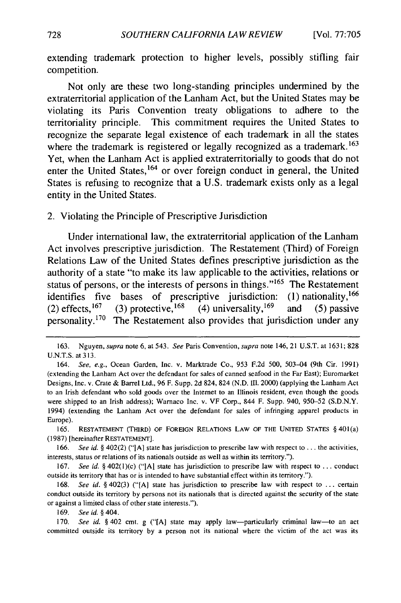extending trademark protection to higher levels, possibly stifling fair competition.

Not only are these two long-standing principles undermined **by** the extraterritorial application of the Lanham Act, but the United States may be violating its Paris Convention treaty obligations to adhere to the territoriality principle. This commitment requires the United States to recognize the separate legal existence of each trademark in all the states where the trademark is registered or legally recognized as a trademark.<sup>163</sup> Yet, when the Lanham Act is applied extraterritorially to goods that do not enter the United States,<sup>164</sup> or over foreign conduct in general, the United States is refusing to recognize that a **U.S.** trademark exists only as a legal entity in the United States.

2. Violating the Principle of Prescriptive Jurisdiction

Under international law, the extraterritorial application of the Lanham Act involves prescriptive jurisdiction. The Restatement (Third) of Foreign Relations Law of the United States defines prescriptive jurisdiction as the authority of a state "to make its law applicable to the activities, relations or status of persons, or the interests of persons in things."<sup>165</sup> The Restatement identifies five bases of prescriptive jurisdiction: (1) nationality,<sup>166</sup> (2) effects,  $^{167}$  (3) protective,  $^{168}$  (4) universality,  $^{169}$  and (5) passive personality.<sup>170</sup> The Restatement also provides that jurisdiction under any

**165. RESTATEMENT (THIRD) OF FOREIGN RELATIONS LAW OF THE UNITED STATES §** 401(a) **(1987)** [hereinafter **RESTATEMENT].**

**166.** *See id.* **§** 402(2) **("[A]** state has jurisdiction to prescribe law with respect to **...** the activities, interests, status or relations of its nationals outside as well as within its territory.").

**167.** *See id. §* 402(l)(c) **("[A]** state has jurisdiction to prescribe law with respect to **...** conduct outside its territory that has or is intended to have substantial effect within its territory.").

**168.** *See id. §* 402(3) **("[Al** state has jurisdiction to prescribe law with respect to **...** certain conduct outside its territory **by** persons not its nationals that is directed against the security of the state or against a limited class of other state interests.").

**169.** *See id. §* 404.

**170.** *See id.* **§** 402 cmt. **g ("[A]** state may apply law-particularly criminal law-to an act committed outside its territory **by** a person not its national where the victim of the act was its

**<sup>163.</sup>** Nguyen, *supra* note **6,** at 543. *See* Paris Convention, *supra* note 146, 21 **U.S.T.** at **1631; 828 U.N.T.S.** at **313.**

<sup>164.</sup> *See, e.g.,* Ocean Garden, Inc. v. Marktrade Co., **953 F.2d 500,** 503-04 (9th Cir. **1991)** (extending the Lanham Act over the defendant for sales of canned seafood in the Far East); Euromarket Designs, Inc. v. Crate **&** Barrel Ltd., **96** F. Supp. **2d** 824, 824 **(N.D. II1.** 2000) (applying the Lanham Act to an Irish defendant who sold goods over the Internet to an Illinois resident, even though the goods were shipped to an Irish address); Warnaco Inc. v. VF Corp., 844 F. Supp. 940, **950-52 (S.D.N.Y.** 1994) (extending the Lanham Act over the defendant for sales of infringing apparel products in Europe).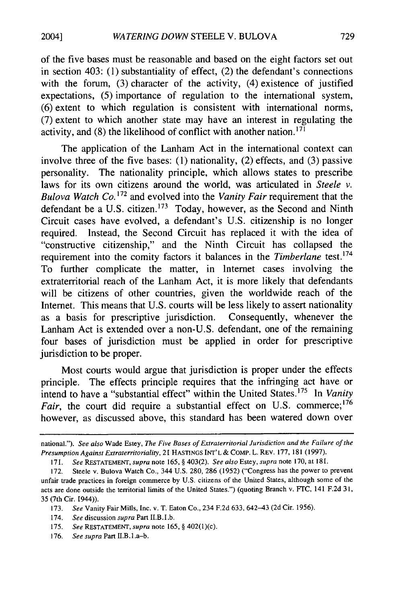of the five bases must be reasonable and based on the eight factors set out in section 403: (1) substantiality of effect, (2) the defendant's connections with the forum, (3) character of the activity, (4) existence of justified expectations, (5) importance of regulation to the international system, (6) extent to which regulation is consistent with international norms, (7) extent to which another state may have an interest in regulating the activity, and (8) the likelihood of conflict with another nation.<sup>171</sup>

The application of the Lanham Act in the international context can involve three of the five bases: (1) nationality, (2) effects, and (3) passive personality. The nationality principle, which allows states to prescribe laws for its own citizens around the world, was articulated in *Steele v. Bulova Watch Co.* 172 and evolved into the *Vanity Fair* requirement that the defendant be a U.S. citizen.<sup>173</sup> Today, however, as the Second and Ninth Circuit cases have evolved, a defendant's U.S. citizenship is no longer required. Instead, the Second Circuit has replaced it with the idea of "constructive citizenship," and the Ninth Circuit has collapsed the requirement into the comity factors it balances in the *Timberlane* test.<sup>174</sup> To further complicate the matter, in Internet cases involving the extraterritorial reach of the Lanham Act, it is more likely that defendants will be citizens of other countries, given the worldwide reach of the Internet. This means that U.S. courts will be less likely to assert nationality as a basis for prescriptive jurisdiction. Consequently, whenever the Lanham Act is extended over a non-U.S. defendant, one of the remaining four bases of jurisdiction must be applied in order for prescriptive jurisdiction to be proper.

Most courts would argue that jurisdiction is proper under the effects principle. The effects principle requires that the infringing act have or intend to have a "substantial effect" within the United States.<sup>175</sup> In *Vanity Fair*, the court did require a substantial effect on U.S. commerce;<sup>176</sup> however, as discussed above, this standard has been watered down over

national."). *See also* Wade Estey, *The Five Bases of Extraterritorial Jurisdiction and the Failure of the Presumption Against Extraterritoriality,* 21 **HASTINGS INT'L & COMP.** L. REV. 177, 181 (1997).

<sup>171.</sup> *See* **RESTATEMENT,** *supra* note 165, § 403(2). *See also* Estey, *supra* note 170, at 181.

<sup>172.</sup> Steele v. Bulova Watch Co., 344 U.S. 280, 286 (1952) ("Congress has the power to prevent unfair trade practices in foreign commerce by U.S. citizens of the United States, although some of the acts are done outside the territorial limits of the United States.") (quoting Branch v. FTC, 141 F.2d 31, 35 (7th Cir. 1944)).

<sup>173.</sup> *See* Vanity Fair Mills, Inc. v. T. Eaton Co., 234 F.2d 633, 642-43 (2d Cir. 1956).

<sup>174.</sup> *See* discussion *supra* Part II.B.l.b.

<sup>175.</sup> *See* **RESTATEMENT,** *supra* note 165, § 402(1)(c).

<sup>176.</sup> *See supra* Part II.B.l.a-b.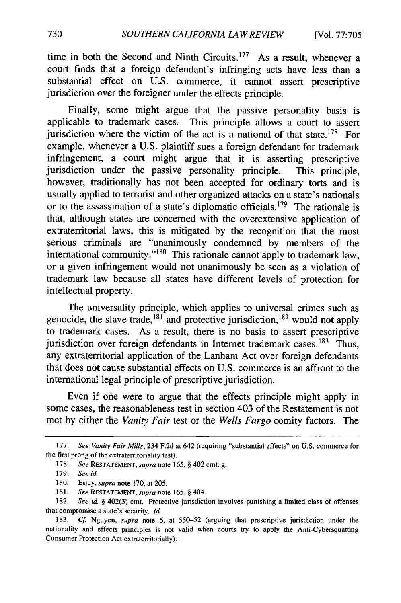time in both the Second and Ninth Circuits.<sup>177</sup> As a result, whenever a court finds that a foreign defendant's infringing acts have less than a substantial effect on U.S. commerce, it cannot assert prescriptive jurisdiction over the foreigner under the effects principle.

Finally, some might argue that the passive personality basis is applicable to trademark cases. This principle allows a court to assert jurisdiction where the victim of the act is a national of that state.<sup>178</sup> For example, whenever a U.S. plaintiff sues a foreign defendant for trademark infringement, a court might argue that it is asserting prescriptive jurisdiction under the passive personality principle. This principle, however, traditionally has not been accepted for ordinary torts and is usually applied to terrorist and other organized attacks on a state's nationals or to the assassination of a state's diplomatic officials.<sup>179</sup> The rationale is that, although states are concerned with the overextensive application of extraterritorial laws, this is mitigated by the recognition that the most serious criminals are "unanimously condemned by members of the international community."<sup>180</sup> This rationale cannot apply to trademark law, or a given infringement would not unanimously be seen as a violation of trademark law because all states have different levels of protection for intellectual property.

The universality principle, which applies to universal crimes such as genocide, the slave trade,  $^{181}$  and protective jurisdiction,  $^{182}$  would not apply to trademark cases. As a result, there is no basis to assert prescriptive jurisdiction over foreign defendants in Internet trademark cases.<sup>183</sup> Thus, any extraterritorial application of the Lanham Act over foreign defendants that does not cause substantial effects on U.S. commerce is an affront to the international legal principle of prescriptive jurisdiction.

Even if one were to argue that the effects principle might apply in some cases, the reasonableness test in section 403 of the Restatement is not met by either the *Vanity Fair* test or the *Wells Fargo* comity factors. The

<sup>177.</sup> *See Vanity Fair Mills,* 234 F.2d at 642 (requiring "substantial effects" on U.S. commerce for the first prong of the extraterritoriality test).

<sup>178.</sup> *See* RESTATEMENT, *supra* note 165, § 402 cmt. g.

**<sup>179.</sup>** *See id.*

<sup>180.</sup> Estey, *supra* note 170, at 205.

<sup>181.</sup> See **RESTATEMENT,** *supra* note 165, § 404.

**<sup>182.</sup>** *See id. §* 402(3) cmt. Protective jurisdiction involves punishing a limited class of offenses that compromise a state's security. *Id.*

<sup>183.</sup> *Cf* Nguyen, *supra* note **6,** at 550-52 (arguing that prescriptive jurisdiction under the nationality and effects principles is not valid when courts try to apply the Anti-Cybersquatting Consumer Protection Act extraterritorially).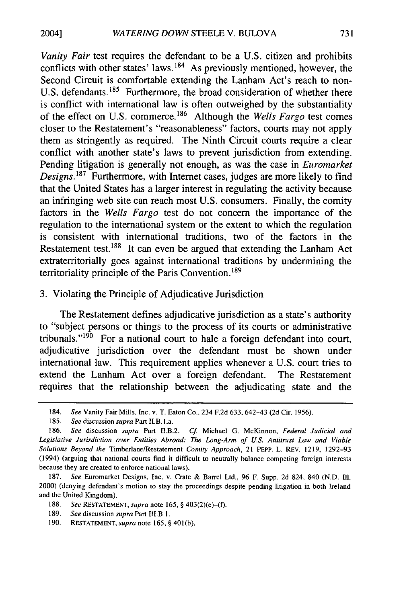*Vanity Fair* test requires the defendant to be a U.S. citizen and prohibits conflicts with other states' laws. 184 As previously mentioned, however, the Second Circuit is comfortable extending the Lanham Act's reach to non-U.S. defendants.<sup>185</sup> Furthermore, the broad consideration of whether there is conflict with international law is often outweighed by the substantiality of the effect on U.S. commerce. 186 Although the *Wells Fargo* test comes closer to the Restatement's "reasonableness" factors, courts may not apply them as stringently as required. The Ninth Circuit courts require a clear conflict with another state's laws to prevent jurisdiction from extending. Pending litigation is generally not enough, as was the case in *Euromarket Designs.187* Furthermore, with Internet cases, judges are more likely to find that the United States has a larger interest in regulating the activity because an infringing web site can reach most U.S. consumers. Finally, the comity factors in the *Wells Fargo* test do not concern the importance of the regulation to the international system or the extent to which the regulation is consistent with international traditions, two of the factors in the Restatement test.<sup>188</sup> It can even be argued that extending the Lanham Act extraterritorially goes against international traditions by undermining the territoriality principle of the Paris Convention.<sup>189</sup>

3. Violating the Principle of Adjudicative Jurisdiction

The Restatement defines adjudicative jurisdiction as a state's authority to "subject persons or things to the process of its courts or administrative tribunals." $190$  For a national court to hale a foreign defendant into court, adjudicative jurisdiction over the defendant must be shown under international law. This requirement applies whenever a U.S. court tries to extend the Lanham Act over a foreign defendant. The Restatement requires that the relationship between the adjudicating state and the

<sup>184.</sup> See Vanity Fair Mills, Inc. v. T. Eaton Co., 234 F.2d 633, 642-43 (2d Cir. 1956).

<sup>185.</sup> See discussion supra Part II.B.1.a.

<sup>186.</sup> See discussion supra Part II.B.2. Cf. Michael G. McKinnon, Federal Judicial and Legislative Jurisdiction over Entities Abroad: The Long-Arm of U.S. Antitrust Law and Viable Solutions Beyond the Timberlane/Restatement Comity Approach, 21 PEPP. L. REV. 1219, 1292-93 (1994) (arguing that national courts find it difficult to neutrally balance competing foreign interests because they are created to enforce national laws).

<sup>187.</sup> See Euromarket Designs, Inc. v. Crate & Barrel Ltd., 96 F. Supp. 2d 824, 840 (N.D. Ill. 2000) (denying defendant's motion to stay the proceedings despite pending litigation in both Ireland and the United Kingdom).

<sup>188.</sup> See **RESTATEMENT,** supra note 165, § 403(2)(e)-(f).

<sup>189.</sup> See discussion supra Part III.B.1.

<sup>190.</sup> RESTATEMENT, supra note 165, § 401(b).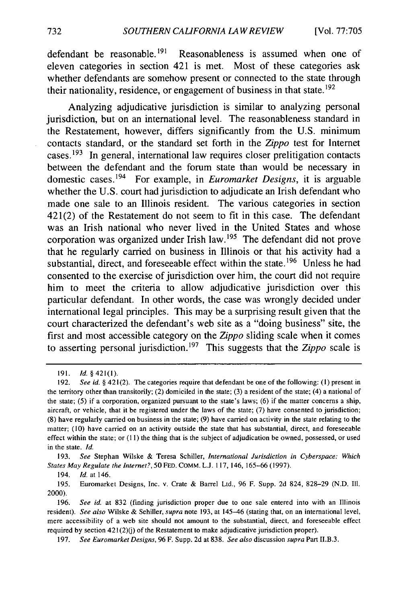defendant be reasonable.<sup>191</sup> Reasonableness is assumed when one of eleven categories in section 421 is met. Most of these categories ask whether defendants are somehow present or connected to the state through their nationality, residence, or engagement of business in that state.<sup>192</sup>

Analyzing adjudicative jurisdiction is similar to analyzing personal jurisdiction, but on an international level. The reasonableness standard in the Restatement, however, differs significantly from the U.S. minimum contacts standard, or the standard set forth in the *Zippo* test for Internet cases.  $193$  In general, international law requires closer prelitigation contacts between the defendant and the forum state than would be necessary in domestic cases. 194 For example, in *Euromarket Designs,* it is arguable whether the U.S. court had jurisdiction to adjudicate an Irish defendant who made one sale to an Illinois resident. The various categories in section 421(2) of the Restatement do not seem to fit in this case. The defendant was an Irish national who never lived in the United States and whose corporation was organized under Irish law.<sup>195</sup> The defendant did not prove that he regularly carried on business in Illinois or that his activity had a substantial, direct, and foreseeable effect within the state.<sup>196</sup> Unless he had consented to the exercise of jurisdiction over him, the court did not require him to meet the criteria to allow adjudicative jurisdiction over this particular defendant. In other words, the case was wrongly decided under international legal principles. This may be a surprising result given that the court characterized the defendant's web site as a "doing business" site, the first and most accessible category on the *Zippo* sliding scale when it comes to asserting personal jurisdiction.<sup>197</sup> This suggests that the *Zippo* scale is

193. *See* Stephan Wilske & Teresa Schiller, *International Jurisdiction in Cyberspace: Which States May Regulate the Internet?,* 50 FED. COMM. L.J. 117, 146, 165-66 (1997).

195. Euromarket Designs, Inc. v. Crate & Barrel Ltd., 96 F. Supp. 2d 824, 828-29 (N.D. **I11.** 2000).

<sup>191.</sup> *Id. §* 421(1).

<sup>192.</sup> *See id. §* 421(2). The categories require that defendant be one of the following: (1) present in the territory other than transitorily; (2) domiciled in the state; (3) a resident of the state; (4) a national of the state; (5) if a corporation, organized pursuant to the state's laws; (6) if the matter concerns a ship, aircraft, or vehicle, that it be registered under the laws of the state; (7) have consented to jurisdiction; (8) have regularly carried on business in the state; (9) have carried on activity in the state relating to the matter; (10) have carried on an activity outside the state that has substantial, direct, and foreseeable effect within the state; or (11) the thing that is the subject of adjudication be owned, possessed, or used in the state. *Id.*

<sup>194.</sup> *Id.* at 146.

<sup>196.</sup> *See id.* at 832 (finding jurisdiction proper due to one sale entered into with an Illinois resident). *See also* Wilske & Schiller, *supra* note 193, at 145-46 (stating that, on an international level, mere accessibility of a web site should not amount to the substantial, direct, and foreseeable effect required by section  $421(2)(j)$  of the Restatement to make adjudicative jurisdiction proper).

<sup>197.</sup> *See Euromarket Designs,* 96 F. Supp. 2d at 838. *See also* discussion *supra* Part II.B.3.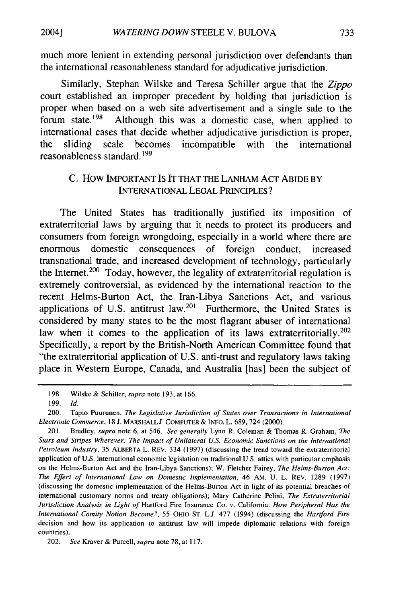20041

much more lenient in extending personal jurisdiction over defendants than the international reasonableness standard for adjudicative jurisdiction.

Similarly, Stephan Wilske and Teresa Schiller argue that the *Zippo* court established an improper precedent by holding that jurisdiction is proper when based on a web site advertisement and a single sale to the forum state.<sup>198</sup> Although this was a domestic case, when applied to international cases that decide whether adjudicative jurisdiction is proper, the sliding scale becomes incompatible with the international reasonableness standard. 199

## C. How IMPORTANT IS IT THAT THE LANHAM **ACT ABIDE** BY **INTERNATIONAL LEGAL** PRINCIPLES?

The United States has traditionally justified its imposition of extraterritorial laws by arguing that it needs to protect its producers and consumers from foreign wrongdoing, especially in a world where there are enormous domestic consequences of foreign conduct, increased transnational trade, and increased development of technology, particularly the Internet.<sup>200</sup> Today, however, the legality of extraterritorial regulation is extremely controversial, as evidenced by the international reaction to the recent Helms-Burton Act, the Iran-Libya Sanctions Act, and various applications of U.S. antitrust  $law<sup>201</sup>$  Furthermore, the United States is considered by many states to be the most flagrant abuser of international law when it comes to the application of its laws extraterritorially.<sup>202</sup> Specifically, a report by the British-North American Committee found that "the extraterritorial application of U.S. anti-trust and regulatory laws taking place in Western Europe, Canada, and Australia [has] been the subject of

<sup>198.</sup> Wilske & Schiller, supra note 193, at 166.

<sup>199.</sup> *Id.*

<sup>200.</sup> Tapio Puurunen, *The Legislative Jurisdiction of States over Transactions in International Electronic Commerce,* 18 J. MARSHALL J. COMPUTER & INFO. L. 689, 724 (2000).

<sup>201.</sup> Bradley, *supra* note 6, at 546. *See generally* Lynn R. Coleman & Thomas R. Graham, *The Stars and Stripes Wherever: The Impact of Unilateral U.S. Economic Sanctions on the International Petroleum Industry,* 35 ALBERTA L. REV. 334 (1997) (discussing the trend toward the extraterritorial application of U.S. international economic legislation on traditional U.S. allies with particular emphasis on the Helms-Burton Act and the Iran-Libya Sanctions); W. Fletcher Fairey, *The Helms-Burton Act: The Effect of International Law on Domestic Implementation,* 46 AM. U. L. REV. 1289 (1997) (discussing the domestic implementation of the Helms-Burton Act in light of its potential breaches of international customary norms and treaty obligations); Mary Catherine Pelini, *The Extraterritorial Jurisdiction Analysis in Light of* Hartford Fire Insurance Co. v. California: *How Peripheral Has the International Comity Notion Become?,* 55 OHIO ST. L.J. 477 (1994) (discussing the *Hartford Fire* decision and how its application to antitrust law will impede diplomatic relations with foreign countries).

<sup>202.</sup> *See* Kraver & Purcell, *supra* note 78, at 117.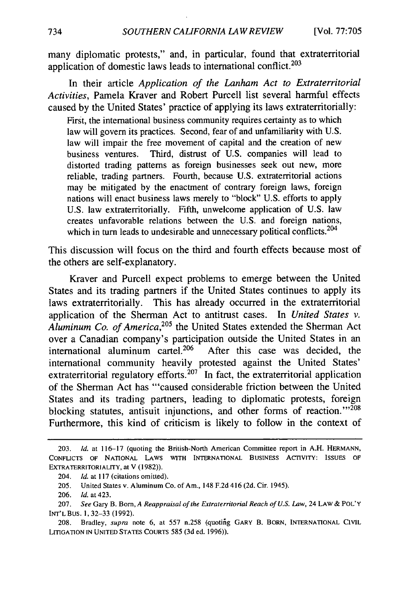many diplomatic protests," and, in particular, found that extraterritorial application of domestic laws leads to international conflict. $203$ 

In their article *Application of the Lanham Act to Extraterritorial Activities,* Pamela Kraver and Robert Purcell list several harmful effects caused by the United States' practice of applying its laws extraterritorially:

First, the international business community requires certainty as to which law will govern its practices. Second, fear of and unfamiliarity with U.S. law will impair the free movement of capital and the creation of new business ventures. Third, distrust of U.S. companies will lead to distorted trading patterns as foreign businesses seek out new, more reliable, trading partners. Fourth, because U.S. extraterritorial actions may be mitigated by the enactment of contrary foreign laws, foreign nations will enact business laws merely to "block" U.S. efforts to apply U.S. law extraterritorially. Fifth, unwelcome application of U.S. law creates unfavorable relations between the U.S. and foreign nations, which in turn leads to undesirable and unnecessary political conflicts.<sup>204</sup>

This discussion will focus on the third and fourth effects because most of the others are self-explanatory.

Kraver and Purcell expect problems to emerge between the United States and its trading partners if the United States continues to apply its laws extraterritorially. This has already occurred in the extraterritorial application of the Sherman Act to antitrust cases. In *United States v.* Aluminum Co. of America,<sup>205</sup> the United States extended the Sherman Act over a Canadian company's participation outside the United States in an international aluminum cartel.<sup>206</sup> After this case was decided, the international community heavily protested against the United States' extraterritorial regulatory efforts.<sup>207</sup> In fact, the extraterritorial application of the Sherman Act has "'caused considerable friction between the United States and its trading partners, leading to diplomatic protests, foreign blocking statutes, antisuit injunctions, and other forms of reaction."<sup>208</sup> Furthermore, this kind of criticism is likely to follow in the context of

<sup>203.</sup> *Id.* at 116-17 (quoting the British-North American Committee report in A.H. **HERMANN,** CONFLICTS OF NATIONAL LAWS WITH **INTERNATIONAL** BUSINESS ACTIVITY: **ISSUES** OF EXTRATERRITORIALITY, at V (1982)).

<sup>204.</sup> *Id.* at 117 (citations omitted).

<sup>205.</sup> United States v. Aluminum Co. of Am., 148 F.2d 416 (2d. Cir. 1945).

<sup>206.</sup> *Id.* at 423.

<sup>207.</sup> *See* Gary B. Born, *A Reappraisal of the Extraterritorial Reach of U.S. Law,* 24 LAW & POL'Y INT'L BUS. 1,32-33 (1992).

<sup>208.</sup> Bradley, supra note 6, at 557 n.258 (quoting GARY B. BORN, INTERNATIONAL CIVIL LITIGATION IN UNITED STATES COURTS 585 (3d ed. 1996)).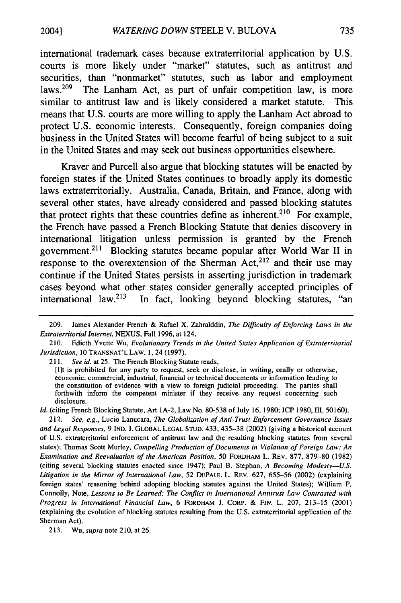international trademark cases because extraterritorial application **by U.S.** courts is more likely under "market" statutes, such as antitrust and securities, than "nonmarket" statutes, such as labor and employment laws.<sup>209</sup> The Lanham Act, as part of unfair competition law, is more similar to antitrust law and is likely considered a market statute. This means that **U.S.** courts are more willing to apply the Lanham Act abroad to protect **U.S.** economic interests. Consequently, foreign companies doing business in the United States will become fearful of being subject to a suit in the United States and may seek out business opportunities elsewhere.

Kraver and Purcell also argue that blocking statutes will be enacted **by** foreign states if the United States continues to broadly apply its domestic laws extraterritorially. Australia, Canada, Britain, and France, along with several other states, have already considered and passed blocking statutes that protect rights that these countries define as inherent.<sup>210</sup> For example, the French have passed a French Blocking Statute that denies discovery in international litigation unless permission is granted **by** the French government. <sup>21</sup> " Blocking statutes became popular after World War **II** in response to the overextension of the Sherman Act, $^{212}$  and their use may continue if the United States persists in asserting jurisdiction in trademark cases beyond what other states consider generally accepted principles of international law.<sup>213</sup> In fact, looking beyond blocking statutes, "an

*Id.* (citing French Blocking Statute, Art 1A-2, Law No. 80-538 of July **16,** 1980; JCP 1980,111, 50160).

212. *See, e.g.,* Lucio Lanucara, *The Globalization of Anti-Trust Enforcement Governance Issues and Legal Responses,* 9 **IND.** J. GLOBAL **LEGAL STUD.** 433, 435-38 (2002) (giving a historical account of U.S. extraterritorial enforcement of antitrust law and the resulting blocking statutes from several states); Thomas Scott Murley, *Compelling Production of Documents in Violation of Foreign Law: An Examination and Reevaluation of the American Position,* 50 FORDHAM L. REV. 877, 879-80 (1982) (citing several blocking statutes enacted since 1947); Paul B. Stephan, *A Becoming Modesty-U.S. Litigation in the Mirror of International Law,* 52 DEPAUL L. REv. 627, 655-56 (2002) (explaining foreign states' reasoning behind adopting blocking statutes against the United States); William P. Connolly, Note, *Lessons to Be Learned: The Conflict in International Antitrust Law Contrasted with Progress in International Financial Law,* 6 FORDHAM J. CORP. & **FIN.** L. 207, 213-15 (2001) (explaining the evolution of blocking statutes resulting from the U.S. extraterritorial application of the Sherman Act).

2004]

<sup>209.</sup> James Alexander French & Rafael X. Zahralddin, *The Difficulty of Enforcing Laws in the Extraterritorial Internet,* NEXUS, Fall 1996, at 124.

<sup>210.</sup> Edieth Yvette Wu, *Evolutionary Trends in the United States Application of Extraterritorial Jurisdiction, 10* **TRANSNAT'L** LAW. 1, 24 (1997).

<sup>211.</sup> *See id.* at 25. The French Blocking Statute reads,

<sup>[</sup>Ilt is prohibited for any party to request, seek or disclose, in writing, orally or otherwise, economic, commercial, industrial, financial or technical documents or information leading to the constitution of evidence with a view to foreign judicial proceeding. The parties shall forthwith inform the competent minister if they receive any request concerning such disclosure.

<sup>213.</sup> Wu, *supra* note 210, at 26.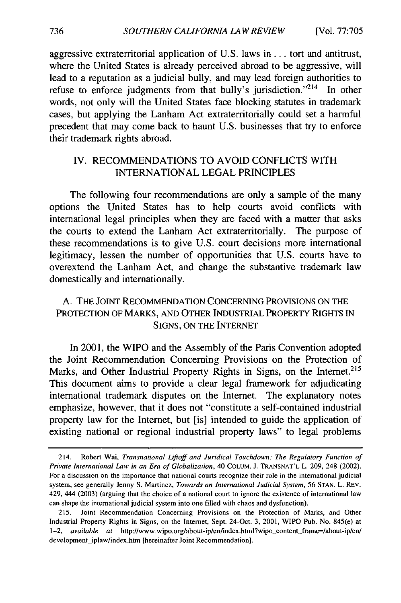aggressive extraterritorial application of U.S. laws in... tort and antitrust, where the United States is already perceived abroad to be aggressive, will lead to a reputation as a judicial bully, and may lead foreign authorities to refuse to enforce judgments from that bully's jurisdiction."<sup>214</sup> In other words, not only will the United States face blocking statutes in trademark cases, but applying the Lanham Act extraterritorially could set a harmful precedent that may come back to haunt U.S. businesses that try to enforce their trademark rights abroad.

## IV. RECOMMENDATIONS TO **AVOID** CONFLICTS WITH INTERNATIONAL LEGAL PRINCIPLES

The following four recommendations are only a sample of the many options the United States has to help courts avoid conflicts with international legal principles when they are faced with a matter that asks the courts to extend the Lanham Act extraterritorially. The purpose of these recommendations is to give U.S. court decisions more international legitimacy, lessen the number of opportunities that U.S. courts have to overextend the Lanham Act, and change the substantive trademark law domestically and internationally.

## A. THE JOINT RECOMMENDATION CONCERNING PROVISIONS ON THE PROTECTION OF MARKS, AND OTHER INDUSTRIAL PROPERTY RIGHTS IN SIGNS, ON THE INTERNET

In 2001, the WIPO and the Assembly of the Paris Convention adopted the Joint Recommendation Concerning Provisions on the Protection of Marks, and Other Industrial Property Rights in Signs, on the Internet.<sup>215</sup> This document aims to provide a clear legal framework for adjudicating international trademark disputes on the Internet. The explanatory notes emphasize, however, that it does not "constitute a self-contained industrial property law for the Internet, but [is] intended to guide the application of existing national or regional industrial property laws" to legal problems

<sup>214.</sup> Robert Wai, *Transnational Liftoff and Juridical Touchdown: The Regulatory Function of Private International Law in an Era of Globalization,* 40 **COLUM.** J. **TRANSNAT'L** L. 209, 248 (2002). For a discussion on the importance that national courts recognize their role in the international judicial system, see generally Jenny **S.** Martinez, *Towards an International Judicial System,* 56 **STAN.** L. REV. 429, 444 (2003) (arguing that the choice of a national court to ignore the existence of international law can shape the international judicial system into one filled with chaos and dysfunction).

<sup>215.</sup> Joint Recommendation Concerning Provisions on the Protection of Marks, and Other Industrial Property Rights in Signs, on the Internet, Sept. 24-Oct. 3, 2001, WIPO Pub. No. 845(e) at 1-2, *available at http://www.wipo.org/about-ip/en/index.html?wipo\_content\_frame=/about-ip/en/* development\_iplaw/index.htm [hereinafter Joint Recommendation].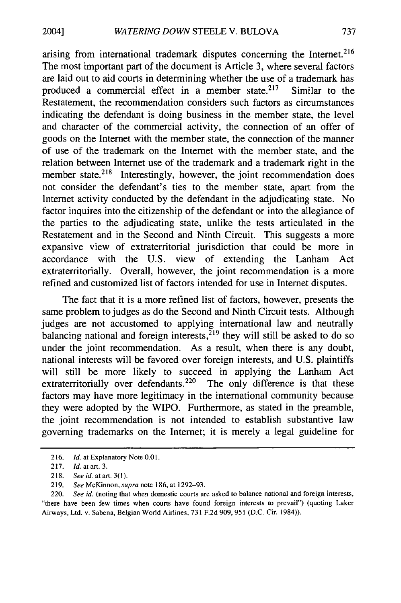arising from international trademark disputes concerning the Internet.<sup>216</sup> The most important part of the document is Article 3, where several factors are laid out to aid courts in determining whether the use of a trademark has produced a commercial effect in a member state.<sup>217</sup> Similar to the Restatement, the recommendation considers such factors as circumstances indicating the defendant is doing business in the member state, the level and character of the commercial activity, the connection of an offer of goods on the Internet with the member state, the connection of the manner of use of the trademark on the Internet with the member state, and the relation between Internet use of the trademark and a trademark right in the member state.<sup>218</sup> Interestingly, however, the joint recommendation does not consider the defendant's ties to the member state, apart from the Internet activity conducted by the defendant in the adjudicating state. No factor inquires into the citizenship of the defendant or into the allegiance of the parties to the adjudicating state, unlike the tests articulated in the Restatement and in the Second and Ninth Circuit. This suggests a more expansive view of extraterritorial jurisdiction that could be more in accordance with the U.S. view of extending the Lanham Act extraterritorially. Overall, however, the joint recommendation is a more refined and customized list of factors intended for use in Internet disputes.

The fact that it is a more refined list of factors, however, presents the same problem to judges as do the Second and Ninth Circuit tests. Although judges are not accustomed to applying international law and neutrally balancing national and foreign interests,  $2^{19}$  they will still be asked to do so under the joint recommendation. As a result, when there is any doubt, national interests will be favored over foreign interests, and U.S. plaintiffs will still be more likely to succeed in applying the Lanham Act extraterritorially over defendants.<sup>220</sup> The only difference is that these factors may have more legitimacy in the international community because they were adopted by the WIPO. Furthermore, as stated in the preamble, the joint recommendation is not intended to establish substantive law governing trademarks on the Internet; it is merely a legal guideline for

<sup>216.</sup> *Id.* at Explanatory Note 0.01.

<sup>217.</sup> *Id. at* art. 3.

<sup>218.</sup> *Seeid. atart. 3(l).*

<sup>219.</sup> *See* McKinnon, *supra* note 186, at 1292-93.

<sup>220.</sup> *See id.* (noting that when domestic courts are asked to balance national and foreign interests, "there have been few times when courts have found foreign interests to prevail") (quoting Laker Airways, Ltd. v. Sabena, Belgian World Airlines, 731 F.2d 909, 951 (D.C. Cir. 1984)).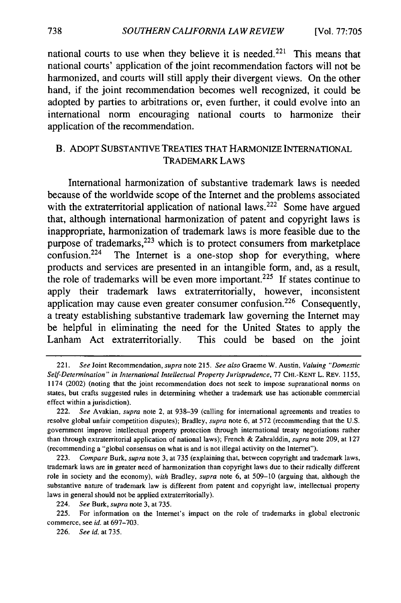national courts to use when they believe it is needed.<sup>221</sup> This means that national courts' application of the joint recommendation factors will not be harmonized, and courts will still apply their divergent views. On the other hand, if the joint recommendation becomes well recognized, it could be adopted **by** parties to arbitrations or, even further, it could evolve into an international norm encouraging national courts to harmonize their application of the recommendation.

## B. ADOPT SUBSTANTIVE TREATIES THAT HARMONIZE INTERNATIONAL TRADEMARK LAWS

International harmonization of substantive trademark laws is needed because of the worldwide scope of the Internet and the problems associated with the extraterritorial application of national laws.<sup>222</sup> Some have argued that, although international harmonization of patent and copyright laws is inappropriate, harmonization of trademark laws is more feasible due to the purpose of trademarks,  $223$  which is to protect consumers from marketplace confusion. $224$  The Internet is a one-stop shop for everything, where products and services are presented in an intangible form, and, as a result, the role of trademarks will be even more important.225 **If** states continue to apply their trademark laws extraterritorially, however, inconsistent application may cause even greater consumer confusion.<sup>226</sup> Consequently, a treaty establishing substantive trademark law governing the Internet may be helpful in eliminating the need for the United States to apply the Lanham Act extraterritorially. This could be based on the joint

**225.** For information on the Internet's impact on the role of trademarks in global electronic commerce, see *id.* at **697-703.**

**226.** *See id.* at **735.**

<sup>22</sup> *1. See* Joint Recommendation, *supra* note **215.** *See also* Graeme W. Austin, *Valuing "Domestic Self-Determination" in International Intellectual Property Jurisprudence,* **77** CHI.-KENT L. REV. **1155,** 1174 (2002) (noting that the joint recommendation does not seek to impose supranational norms on states, but crafts suggested rules in determining whether a trademark use has actionable commercial effect within a jurisdiction).

<sup>222.</sup> *See* Avakian, *supra* note 2, at **938-39** (calling for international agreements and treaties to resolve global unfair competition disputes); Bradley, *supra* note **6,** at **572** (recommending that the **U.S.** government improve intellectual property protection through international treaty negotiations rather than through extraterritorial application of national laws); French **&** Zahralddin, *supra* note **209,** at **127** (recommending a "global consensus on what is and is not illegal activity on the Internet").

**<sup>223.</sup>** *Compare* Burk, *supra* note **3,** at **735** (explaining that, between copyright and trademark laws, trademark laws are in greater need of harmonization than copyright laws due to their radically different role in society and the economy), *with* Bradley, *supra* note **6,** at **509-10** (arguing that, although the substantive nature of trademark law is different from patent and copyright law, intellectual property laws in general should not be applied extraterritorially).

<sup>224.</sup> *See* Burk, *supra* note **3,** at **735.**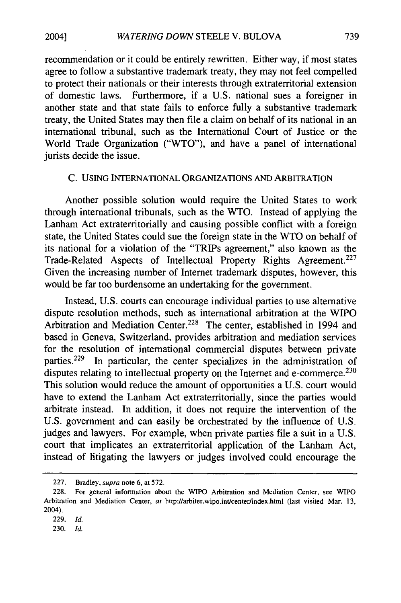recommendation or it could be entirely rewritten. Either way, if most states agree to follow a substantive trademark treaty, they may not feel compelled to protect their nationals or their interests through extraterritorial extension of domestic laws. Furthermore, if a U.S. national sues a foreigner in another state and that state fails to enforce fully a substantive trademark treaty, the United States may then file a claim on behalf of its national in an international tribunal, such as the International Court of Justice or the World Trade Organization ("WTO"), and have a panel of international jurists decide the issue.

#### C. USING INTERNATIONAL ORGANIZATIONS **AND** ARBITRATION

Another possible solution would require the United States to work through international tribunals, such as the WTO. Instead of applying the Lanham Act extraterritorially and causing possible conflict with a foreign state, the United States could sue the foreign state in the WTO on behalf of its national for a violation of the "TRIPs agreement," also known as the Trade-Related Aspects of Intellectual Property Rights Agreement.<sup>227</sup> Given the increasing number of Internet trademark disputes, however, this would be far too burdensome an undertaking for the government.

Instead, U.S. courts can encourage individual parties to use alternative dispute resolution methods, such as international arbitration at the WIPO Arbitration and Mediation Center.<sup>228</sup> The center, established in 1994 and based in Geneva, Switzerland, provides arbitration and mediation services for the resolution of international commercial disputes between private parties.<sup>229</sup> In particular, the center specializes in the administration of disputes relating to intellectual property on the Internet and e-commerce.<sup>230</sup> This solution would reduce the amount of opportunities a U.S. court would have to extend the Lanham Act extraterritorially, since the parties would arbitrate instead. In addition, it does not require the intervention of the U.S. government and can easily be orchestrated by the influence of U.S. judges and lawyers. For example, when private parties file a suit in a U.S. court that implicates an extraterritorial application of the Lanham Act, instead of litigating the lawyers or judges involved could encourage the

2004]

<sup>227.</sup> Bradley, supra note **6,** at 572.

<sup>228.</sup> For general information about the WIPO Arbitration and Mediation Center, see WIPO Arbitration and Mediation Center, *at* http://arbiter.wipo.int/center/index.html (last visited Mar. 13, 2004).

<sup>229.</sup> *Id.*

<sup>230.</sup> *Id.*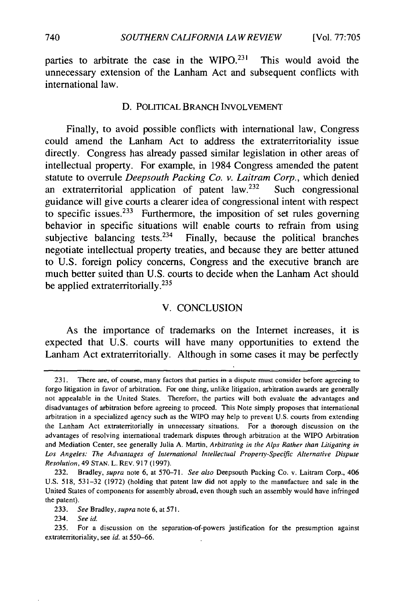parties to arbitrate the case in the WIPO. $231$  This would avoid the unnecessary extension of the Lanham Act and subsequent conflicts with international law.

#### D. POLITICAL BRANCH INVOLVEMENT

Finally, to avoid possible conflicts with international law, Congress could amend the Lanham Act to address the extraterritoriality issue directly. Congress has already passed similar legislation in other areas of intellectual property. For example, in 1984 Congress amended the patent statute to overrule *Deepsouth Packing Co. v. Laitram Corp.,* which denied an extraterritorial application of patent law. $232$  Such congressional guidance will give courts a clearer idea of congressional intent with respect to specific issues. $233$  Furthermore, the imposition of set rules governing behavior in specific situations will enable courts to refrain from using subjective balancing tests. $234$  Finally, because the political branches negotiate intellectual property treaties, and because they are better attuned to U.S. foreign policy concerns, Congress and the executive branch are much better suited than **U.S.** courts to decide when the Lanham Act should be applied extraterritorially.<sup>235</sup>

#### V. CONCLUSION

As the importance of trademarks on the Internet increases, it is expected that U.S. courts will have many opportunities to extend the Lanham Act extraterritorially. Although in some cases it may be perfectly

234. *See id.*

<sup>231.</sup> There are, of course, many factors that parties in a dispute must consider before agreeing to forgo litigation in favor of arbitration. For one thing, unlike litigation, arbitration awards are generally not appealable in the United States. Therefore, the parties will both evaluate the advantages and disadvantages of arbitration before agreeing to proceed. This Note simply proposes that international arbitration in a specialized agency such as the WIPO may help to prevent U.S. courts from extending the Lanham Act extraterritorially in unnecessary situations. For a thorough discussion on the advantages of resolving international trademark disputes through arbitration at the WIPO Arbitration and Mediation Center, see generally Julia A. Martin, *Arbitrating in the Alps Rather than Litigating in Los Angeles: The Advantages of International Intellectual Property-Specific Alternative Dispute Resolution,* 49 STAN. L. REv. 917 (1997).

<sup>232.</sup> Bradley, *supra* note 6, at 570-71. *See also* Deepsouth Packing Co. v. Laitram Corp., 406 U.S. 518, 531-32 (1972) (holding that patent law did not apply to the manufacture and sale in the United States of components for assembly abroad, even though such an assembly would have infringed the patent).

<sup>233.</sup> *See* Bradley, *supra* note 6, at **571.**

<sup>235.</sup> For a discussion on the separation-of-powers justification for the presumption against extraterritoriality, see *id.* at 550-66.